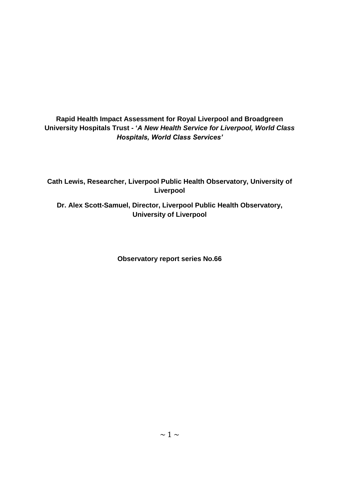## **Rapid Health Impact Assessment for Royal Liverpool and Broadgreen University Hospitals Trust - '***A New Health Service for Liverpool, World Class Hospitals, World Class Services'*

**Cath Lewis, Researcher, Liverpool Public Health Observatory, University of Liverpool**

**Dr. Alex Scott-Samuel, Director, Liverpool Public Health Observatory, University of Liverpool**

**Observatory report series No.66**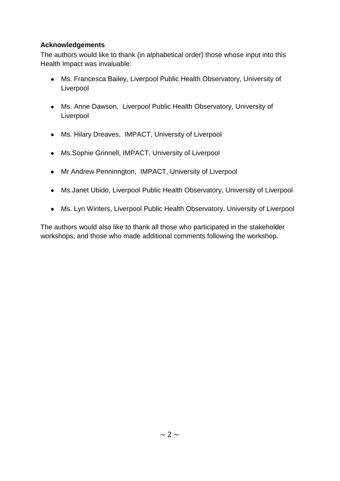## **Acknowledgements**

The authors would like to thank (in alphabetical order) those whose input into this Health Impact was invaluable:

- Ms. Francesca Bailey, Liverpool Public Health Observatory, University of Liverpool
- Ms. Anne Dawson, Liverpool Public Health Observatory, University of Liverpool
- Ms. Hilary Dreaves, IMPACT, University of Liverpool
- Ms.Sophie Grinnell, IMPACT, University of Liverpool
- Mr Andrew Penninngton, IMPACT, University of Liverpool
- Ms.Janet Ubido, Liverpool Public Health Observatory, University of Liverpool
- Ms. Lyn Winters, Liverpool Public Health Observatory, University of Liverpool

The authors would also like to thank all those who participated in the stakeholder workshops, and those who made additional comments following the workshop.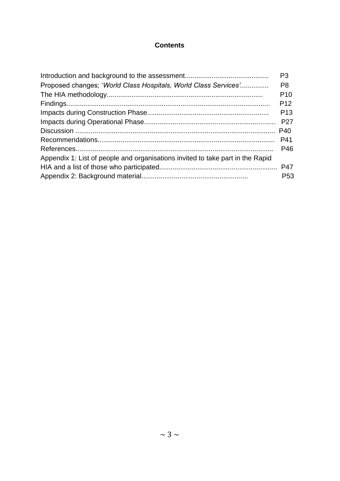## **Contents**

|                                                                                | P <sub>3</sub>  |
|--------------------------------------------------------------------------------|-----------------|
| Proposed changes; 'World Class Hospitals, World Class Services'                | P <sub>8</sub>  |
|                                                                                | P <sub>10</sub> |
|                                                                                | P <sub>12</sub> |
|                                                                                | P <sub>13</sub> |
|                                                                                | <b>P27</b>      |
|                                                                                | P40             |
|                                                                                | P41             |
|                                                                                | P46             |
| Appendix 1: List of people and organisations invited to take part in the Rapid |                 |
|                                                                                |                 |
|                                                                                | P <sub>53</sub> |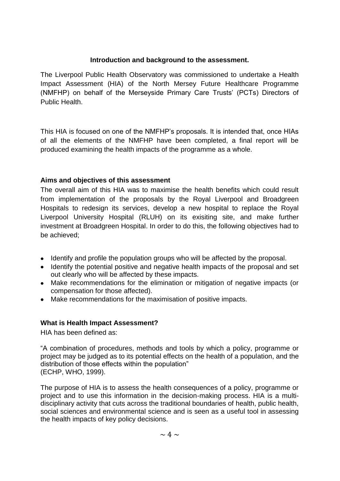#### **Introduction and background to the assessment.**

The Liverpool Public Health Observatory was commissioned to undertake a Health Impact Assessment (HIA) of the North Mersey Future Healthcare Programme (NMFHP) on behalf of the Merseyside Primary Care Trusts" (PCTs) Directors of Public Health.

This HIA is focused on one of the NMFHP"s proposals. It is intended that, once HIAs of all the elements of the NMFHP have been completed, a final report will be produced examining the health impacts of the programme as a whole.

#### **Aims and objectives of this assessment**

The overall aim of this HIA was to maximise the health benefits which could result from implementation of the proposals by the Royal Liverpool and Broadgreen Hospitals to redesign its services, develop a new hospital to replace the Royal Liverpool University Hospital (RLUH) on its exisiting site, and make further investment at Broadgreen Hospital. In order to do this, the following objectives had to be achieved;

- Identify and profile the population groups who will be affected by the proposal.
- Identify the potential positive and negative health impacts of the proposal and set out clearly who will be affected by these impacts.
- Make recommendations for the elimination or mitigation of negative impacts (or compensation for those affected).
- Make recommendations for the maximisation of positive impacts.

#### **What is Health Impact Assessment?**

HIA has been defined as:

"A combination of procedures, methods and tools by which a policy, programme or project may be judged as to its potential effects on the health of a population, and the distribution of those effects within the population" (ECHP, WHO, 1999).

The purpose of HIA is to assess the health consequences of a policy, programme or project and to use this information in the decision-making process. HIA is a multidisciplinary activity that cuts across the traditional boundaries of health, public health, social sciences and environmental science and is seen as a useful tool in assessing the health impacts of key policy decisions.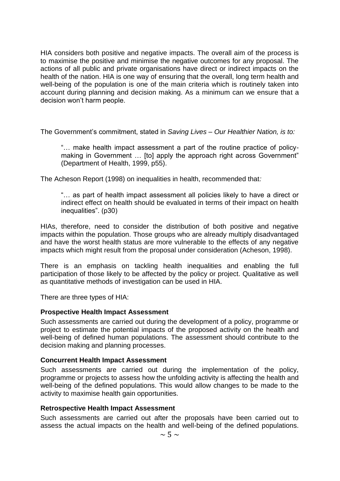HIA considers both positive and negative impacts. The overall aim of the process is to maximise the positive and minimise the negative outcomes for any proposal. The actions of all public and private organisations have direct or indirect impacts on the health of the nation. HIA is one way of ensuring that the overall, long term health and well-being of the population is one of the main criteria which is routinely taken into account during planning and decision making. As a minimum can we ensure that a decision won"t harm people.

The Government"s commitment, stated in *Saving Lives – Our Healthier Nation, is to:*

"… make health impact assessment a part of the routine practice of policymaking in Government ... [to] apply the approach right across Government" (Department of Health, 1999, p55).

The Acheson Report (1998) on inequalities in health, recommended that*:*

"… as part of health impact assessment all policies likely to have a direct or indirect effect on health should be evaluated in terms of their impact on health inequalities". (p30)

HIAs, therefore, need to consider the distribution of both positive and negative impacts within the population. Those groups who are already multiply disadvantaged and have the worst health status are more vulnerable to the effects of any negative impacts which might result from the proposal under consideration (Acheson, 1998).

There is an emphasis on tackling health inequalities and enabling the full participation of those likely to be affected by the policy or project. Qualitative as well as quantitative methods of investigation can be used in HIA.

There are three types of HIA:

#### **Prospective Health Impact Assessment**

Such assessments are carried out during the development of a policy, programme or project to estimate the potential impacts of the proposed activity on the health and well-being of defined human populations. The assessment should contribute to the decision making and planning processes.

#### **Concurrent Health Impact Assessment**

Such assessments are carried out during the implementation of the policy, programme or projects to assess how the unfolding activity is affecting the health and well-being of the defined populations. This would allow changes to be made to the activity to maximise health gain opportunities.

#### **Retrospective Health Impact Assessment**

Such assessments are carried out after the proposals have been carried out to assess the actual impacts on the health and well-being of the defined populations.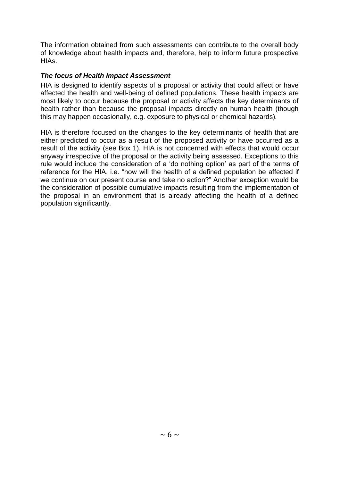The information obtained from such assessments can contribute to the overall body of knowledge about health impacts and, therefore, help to inform future prospective HIAs.

### *The focus of Health Impact Assessment*

HIA is designed to identify aspects of a proposal or activity that could affect or have affected the health and well-being of defined populations. These health impacts are most likely to occur because the proposal or activity affects the key determinants of health rather than because the proposal impacts directly on human health (though this may happen occasionally, e.g. exposure to physical or chemical hazards)*.* 

HIA is therefore focused on the changes to the key determinants of health that are either predicted to occur as a result of the proposed activity or have occurred as a result of the activity (see Box 1). HIA is not concerned with effects that would occur anyway irrespective of the proposal or the activity being assessed. Exceptions to this rule would include the consideration of a "do nothing option" as part of the terms of reference for the HIA, i.e. "how will the health of a defined population be affected if we continue on our present course and take no action?" Another exception would be the consideration of possible cumulative impacts resulting from the implementation of the proposal in an environment that is already affecting the health of a defined population significantly*.*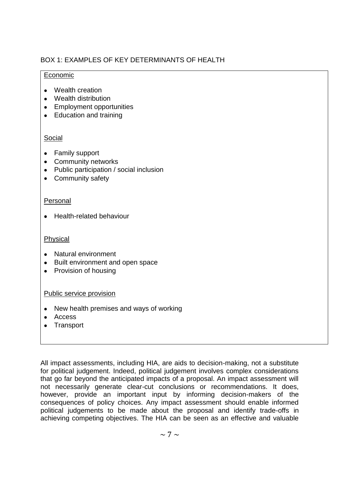## BOX 1: EXAMPLES OF KEY DETERMINANTS OF HEALTH

### Economic

- Wealth creation
- Wealth distribution
- Employment opportunities
- Education and training

## Social

- Family support
- Community networks
- Public participation / social inclusion
- Community safety

## Personal

• Health-related behaviour

### Physical

- Natural environment
- Built environment and open space
- Provision of housing

#### Public service provision

- New health premises and ways of working
- Access
- Transport

All impact assessments, including HIA, are aids to decision-making, not a substitute for political judgement. Indeed, political judgement involves complex considerations that go far beyond the anticipated impacts of a proposal. An impact assessment will not necessarily generate clear-cut conclusions or recommendations. It does, however, provide an important input by informing decision-makers of the consequences of policy choices. Any impact assessment should enable informed political judgements to be made about the proposal and identify trade-offs in achieving competing objectives. The HIA can be seen as an effective and valuable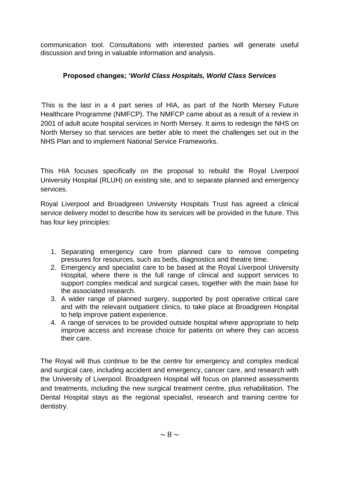communication tool. Consultations with interested parties will generate useful discussion and bring in valuable information and analysis.

## **Proposed changes; '***World Class Hospitals, World Class Services*

*'*This is the last in a 4 part series of HIA, as part of the North Mersey Future Healthcare Programme (NMFCP). The NMFCP came about as a result of a review in 2001 of adult acute hospital services in North Mersey. It aims to redesign the NHS on North Mersey so that services are better able to meet the challenges set out in the NHS Plan and to implement National Service Frameworks.

This HIA focuses specifically on the proposal to rebuild the Royal Liverpool University Hospital (RLUH) on existing site, and to separate planned and emergency services.

Royal Liverpool and Broadgreen University Hospitals Trust has agreed a clinical service delivery model to describe how its services will be provided in the future. This has four key principles:

- 1. Separating emergency care from planned care to remove competing pressures for resources, such as beds, diagnostics and theatre time.
- 2. Emergency and specialist care to be based at the Royal Liverpool University Hospital, where there is the full range of clinical and support services to support complex medical and surgical cases, together with the main base for the associated research.
- 3. A wider range of planned surgery, supported by post operative critical care and with the relevant outpatient clinics, to take place at Broadgreen Hospital to help improve patient experience.
- 4. A range of services to be provided outside hospital where appropriate to help improve access and increase choice for patients on where they can access their care.

The Royal will thus continue to be the centre for emergency and complex medical and surgical care, including accident and emergency, cancer care, and research with the University of Liverpool. Broadgreen Hospital will focus on planned assessments and treatments, including the new surgical treatment centre, plus rehabilitation. The Dental Hospital stays as the regional specialist, research and training centre for dentistry.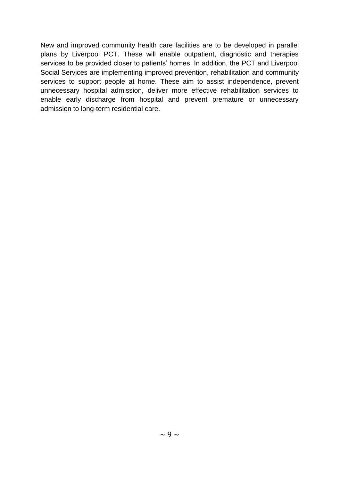New and improved community health care facilities are to be developed in parallel plans by Liverpool PCT. These will enable outpatient, diagnostic and therapies services to be provided closer to patients' homes. In addition, the PCT and Liverpool Social Services are implementing improved prevention, rehabilitation and community services to support people at home. These aim to assist independence, prevent unnecessary hospital admission, deliver more effective rehabilitation services to enable early discharge from hospital and prevent premature or unnecessary admission to long-term residential care.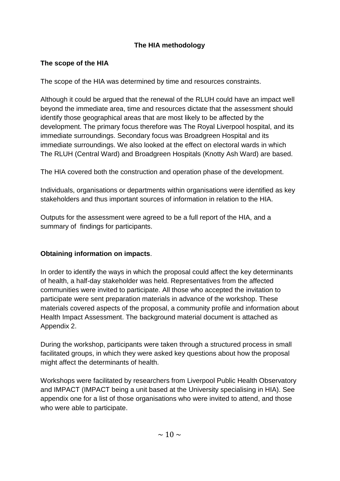# **The HIA methodology**

## **The scope of the HIA**

The scope of the HIA was determined by time and resources constraints.

Although it could be argued that the renewal of the RLUH could have an impact well beyond the immediate area, time and resources dictate that the assessment should identify those geographical areas that are most likely to be affected by the development. The primary focus therefore was The Royal Liverpool hospital, and its immediate surroundings. Secondary focus was Broadgreen Hospital and its immediate surroundings. We also looked at the effect on electoral wards in which The RLUH (Central Ward) and Broadgreen Hospitals (Knotty Ash Ward) are based.

The HIA covered both the construction and operation phase of the development.

Individuals, organisations or departments within organisations were identified as key stakeholders and thus important sources of information in relation to the HIA.

Outputs for the assessment were agreed to be a full report of the HIA, and a summary of findings for participants.

# **Obtaining information on impacts**.

In order to identify the ways in which the proposal could affect the key determinants of health, a half-day stakeholder was held. Representatives from the affected communities were invited to participate. All those who accepted the invitation to participate were sent preparation materials in advance of the workshop. These materials covered aspects of the proposal, a community profile and information about Health Impact Assessment. The background material document is attached as Appendix 2.

During the workshop, participants were taken through a structured process in small facilitated groups, in which they were asked key questions about how the proposal might affect the determinants of health.

Workshops were facilitated by researchers from Liverpool Public Health Observatory and IMPACT (IMPACT being a unit based at the University specialising in HIA). See appendix one for a list of those organisations who were invited to attend, and those who were able to participate.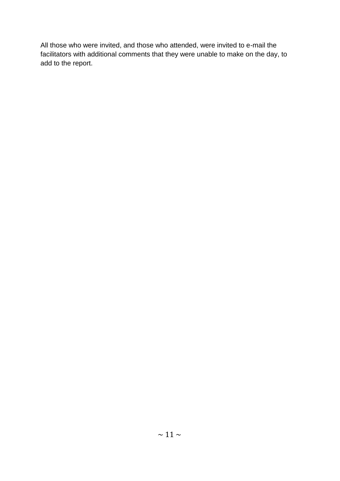All those who were invited, and those who attended, were invited to e-mail the facilitators with additional comments that they were unable to make on the day, to add to the report.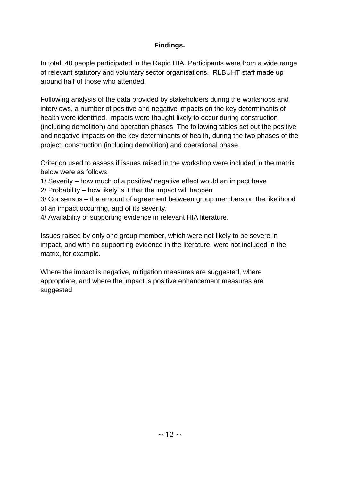## **Findings.**

In total, 40 people participated in the Rapid HIA. Participants were from a wide range of relevant statutory and voluntary sector organisations. RLBUHT staff made up around half of those who attended.

Following analysis of the data provided by stakeholders during the workshops and interviews, a number of positive and negative impacts on the key determinants of health were identified. Impacts were thought likely to occur during construction (including demolition) and operation phases. The following tables set out the positive and negative impacts on the key determinants of health, during the two phases of the project; construction (including demolition) and operational phase.

Criterion used to assess if issues raised in the workshop were included in the matrix below were as follows;

1/ Severity – how much of a positive/ negative effect would an impact have

2/ Probability – how likely is it that the impact will happen

3/ Consensus – the amount of agreement between group members on the likelihood of an impact occurring, and of its severity.

4/ Availability of supporting evidence in relevant HIA literature.

Issues raised by only one group member, which were not likely to be severe in impact, and with no supporting evidence in the literature, were not included in the matrix, for example.

Where the impact is negative, mitigation measures are suggested, where appropriate, and where the impact is positive enhancement measures are suggested.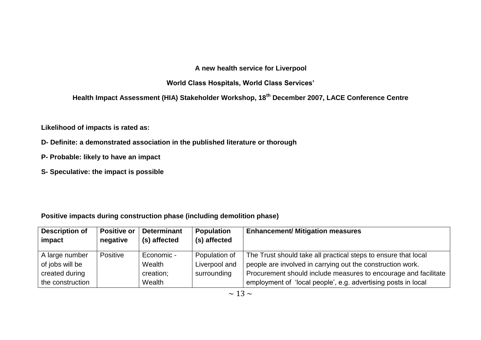## **A new health service for Liverpool**

## **World Class Hospitals, World Class Services'**

**Health Impact Assessment (HIA) Stakeholder Workshop, 18th December 2007, LACE Conference Centre**

**Likelihood of impacts is rated as:**

- **D- Definite: a demonstrated association in the published literature or thorough**
- **P- Probable: likely to have an impact**
- **S- Speculative: the impact is possible**

## **Positive impacts during construction phase (including demolition phase)**

| <b>Description of</b> | <b>Positive or</b> | <b>Determinant</b> | Population    | <b>Enhancement/ Mitigation measures</b>                         |
|-----------------------|--------------------|--------------------|---------------|-----------------------------------------------------------------|
| impact                | negative           | (s) affected       | (s) affected  |                                                                 |
| A large number        | Positive           | Economic -         | Population of | The Trust should take all practical steps to ensure that local  |
| of jobs will be       |                    | Wealth             | Liverpool and | people are involved in carrying out the construction work.      |
| created during        |                    | creation;          | surrounding   | Procurement should include measures to encourage and facilitate |
| the construction      |                    | Wealth             |               | employment of 'local people', e.g. advertising posts in local   |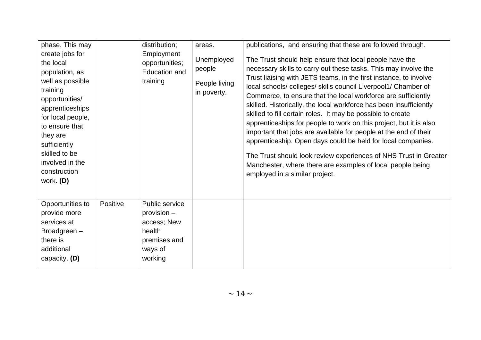| phase. This may<br>create jobs for<br>the local<br>population, as<br>well as possible<br>training<br>opportunities/<br>apprenticeships<br>for local people,<br>to ensure that<br>they are<br>sufficiently<br>skilled to be<br>involved in the<br>construction<br>work. (D) |          | distribution;<br>Employment<br>opportunities;<br>Education and<br>training                   | areas.<br>Unemployed<br>people<br>People living<br>in poverty. | publications, and ensuring that these are followed through.<br>The Trust should help ensure that local people have the<br>necessary skills to carry out these tasks. This may involve the<br>Trust liaising with JETS teams, in the first instance, to involve<br>local schools/colleges/skills council Liverpool1/ Chamber of<br>Commerce, to ensure that the local workforce are sufficiently<br>skilled. Historically, the local workforce has been insufficiently<br>skilled to fill certain roles. It may be possible to create<br>apprenticeships for people to work on this project, but it is also<br>important that jobs are available for people at the end of their<br>apprenticeship. Open days could be held for local companies.<br>The Trust should look review experiences of NHS Trust in Greater<br>Manchester, where there are examples of local people being<br>employed in a similar project. |
|----------------------------------------------------------------------------------------------------------------------------------------------------------------------------------------------------------------------------------------------------------------------------|----------|----------------------------------------------------------------------------------------------|----------------------------------------------------------------|--------------------------------------------------------------------------------------------------------------------------------------------------------------------------------------------------------------------------------------------------------------------------------------------------------------------------------------------------------------------------------------------------------------------------------------------------------------------------------------------------------------------------------------------------------------------------------------------------------------------------------------------------------------------------------------------------------------------------------------------------------------------------------------------------------------------------------------------------------------------------------------------------------------------|
| Opportunities to<br>provide more<br>services at<br>Broadgreen-<br>there is<br>additional<br>capacity. (D)                                                                                                                                                                  | Positive | Public service<br>provision -<br>access; New<br>health<br>premises and<br>ways of<br>working |                                                                |                                                                                                                                                                                                                                                                                                                                                                                                                                                                                                                                                                                                                                                                                                                                                                                                                                                                                                                    |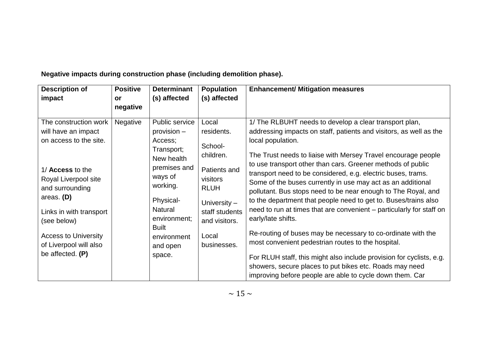| <b>Description of</b>       | <b>Positive</b> | <b>Determinant</b>          | <b>Population</b> | <b>Enhancement/ Mitigation measures</b>                                                                                     |
|-----------------------------|-----------------|-----------------------------|-------------------|-----------------------------------------------------------------------------------------------------------------------------|
| impact                      | <b>or</b>       | (s) affected                | (s) affected      |                                                                                                                             |
|                             | negative        |                             |                   |                                                                                                                             |
| The construction work       | <b>Negative</b> | Public service              | Local             | 1/ The RLBUHT needs to develop a clear transport plan,                                                                      |
| will have an impact         |                 | provision -                 | residents.        | addressing impacts on staff, patients and visitors, as well as the                                                          |
| on access to the site.      |                 | Access;                     | School-           | local population.                                                                                                           |
|                             |                 | Transport;<br>New health    | children.         | The Trust needs to liaise with Mersey Travel encourage people                                                               |
| 1/ Access to the            |                 | premises and                | Patients and      | to use transport other than cars. Greener methods of public<br>transport need to be considered, e.g. electric buses, trams. |
| Royal Liverpool site        |                 | ways of                     | visitors          | Some of the buses currently in use may act as an additional                                                                 |
| and surrounding             |                 | working.                    | <b>RLUH</b>       | pollutant. Bus stops need to be near enough to The Royal, and                                                               |
| areas. $(D)$                |                 | Physical-                   | University $-$    | to the department that people need to get to. Buses/trains also                                                             |
| Links in with transport     |                 | <b>Natural</b>              | staff students    | need to run at times that are convenient – particularly for staff on                                                        |
| (see below)                 |                 | environment;                | and visitors.     | early/late shifts.                                                                                                          |
| <b>Access to University</b> |                 | <b>Built</b><br>environment | Local             | Re-routing of buses may be necessary to co-ordinate with the                                                                |
| of Liverpool will also      |                 | and open                    | businesses.       | most convenient pedestrian routes to the hospital.                                                                          |
| be affected. $(P)$          |                 | space.                      |                   | For RLUH staff, this might also include provision for cyclists, e.g.                                                        |
|                             |                 |                             |                   | showers, secure places to put bikes etc. Roads may need                                                                     |
|                             |                 |                             |                   | improving before people are able to cycle down them. Car                                                                    |

**Negative impacts during construction phase (including demolition phase).**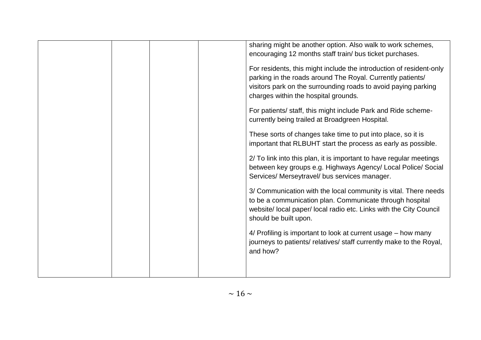| sharing might be another option. Also walk to work schemes,<br>encouraging 12 months staff train/ bus ticket purchases.                                                                                                                     |
|---------------------------------------------------------------------------------------------------------------------------------------------------------------------------------------------------------------------------------------------|
| For residents, this might include the introduction of resident-only<br>parking in the roads around The Royal. Currently patients/<br>visitors park on the surrounding roads to avoid paying parking<br>charges within the hospital grounds. |
| For patients/ staff, this might include Park and Ride scheme-<br>currently being trailed at Broadgreen Hospital.                                                                                                                            |
| These sorts of changes take time to put into place, so it is<br>important that RLBUHT start the process as early as possible.                                                                                                               |
| 2/ To link into this plan, it is important to have regular meetings<br>between key groups e.g. Highways Agency/ Local Police/ Social<br>Services/ Merseytravel/ bus services manager.                                                       |
| 3/ Communication with the local community is vital. There needs<br>to be a communication plan. Communicate through hospital<br>website/ local paper/ local radio etc. Links with the City Council<br>should be built upon.                  |
| 4/ Profiling is important to look at current usage – how many<br>journeys to patients/ relatives/ staff currently make to the Royal,<br>and how?                                                                                            |
|                                                                                                                                                                                                                                             |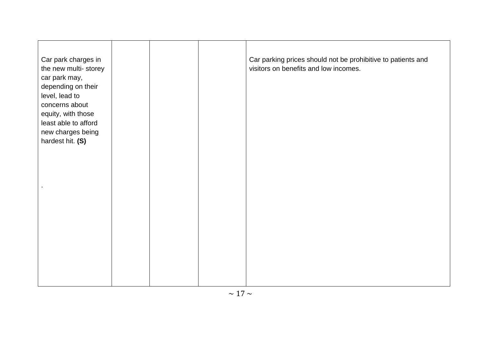| Car park charges in<br>the new multi-storey<br>car park may,<br>depending on their<br>level, lead to<br>concerns about<br>equity, with those<br>least able to afford<br>new charges being<br>hardest hit. (S) |  | Car parking prices should not be prohibitive to patients and<br>visitors on benefits and low incomes. |
|---------------------------------------------------------------------------------------------------------------------------------------------------------------------------------------------------------------|--|-------------------------------------------------------------------------------------------------------|
|                                                                                                                                                                                                               |  |                                                                                                       |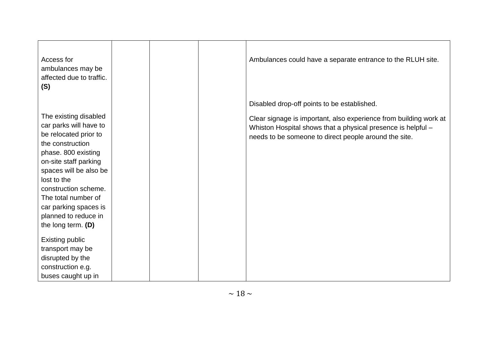| Access for<br>ambulances may be<br>affected due to traffic.<br>(S)                                                                                                     |  | Ambulances could have a separate entrance to the RLUH site.                                                                                                                                |
|------------------------------------------------------------------------------------------------------------------------------------------------------------------------|--|--------------------------------------------------------------------------------------------------------------------------------------------------------------------------------------------|
|                                                                                                                                                                        |  | Disabled drop-off points to be established.                                                                                                                                                |
| The existing disabled<br>car parks will have to<br>be relocated prior to<br>the construction<br>phase. 800 existing<br>on-site staff parking<br>spaces will be also be |  | Clear signage is important, also experience from building work at<br>Whiston Hospital shows that a physical presence is helpful -<br>needs to be someone to direct people around the site. |
| lost to the                                                                                                                                                            |  |                                                                                                                                                                                            |
| construction scheme.                                                                                                                                                   |  |                                                                                                                                                                                            |
| The total number of<br>car parking spaces is                                                                                                                           |  |                                                                                                                                                                                            |
| planned to reduce in<br>the long term. $(D)$                                                                                                                           |  |                                                                                                                                                                                            |
| <b>Existing public</b>                                                                                                                                                 |  |                                                                                                                                                                                            |
| transport may be                                                                                                                                                       |  |                                                                                                                                                                                            |
| disrupted by the                                                                                                                                                       |  |                                                                                                                                                                                            |
| construction e.g.                                                                                                                                                      |  |                                                                                                                                                                                            |
| buses caught up in                                                                                                                                                     |  |                                                                                                                                                                                            |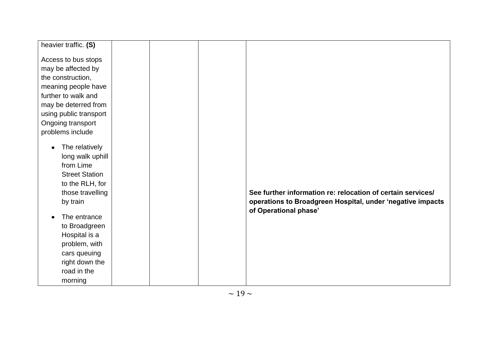| heavier traffic. (S)   |  |                                                             |
|------------------------|--|-------------------------------------------------------------|
|                        |  |                                                             |
| Access to bus stops    |  |                                                             |
| may be affected by     |  |                                                             |
| the construction,      |  |                                                             |
| meaning people have    |  |                                                             |
| further to walk and    |  |                                                             |
| may be deterred from   |  |                                                             |
| using public transport |  |                                                             |
| Ongoing transport      |  |                                                             |
| problems include       |  |                                                             |
|                        |  |                                                             |
| The relatively         |  |                                                             |
| long walk uphill       |  |                                                             |
| from Lime              |  |                                                             |
| <b>Street Station</b>  |  |                                                             |
| to the RLH, for        |  |                                                             |
| those travelling       |  | See further information re: relocation of certain services/ |
| by train               |  | operations to Broadgreen Hospital, under 'negative impacts  |
|                        |  | of Operational phase'                                       |
| The entrance           |  |                                                             |
| to Broadgreen          |  |                                                             |
| Hospital is a          |  |                                                             |
| problem, with          |  |                                                             |
| cars queuing           |  |                                                             |
| right down the         |  |                                                             |
| road in the            |  |                                                             |
| morning                |  |                                                             |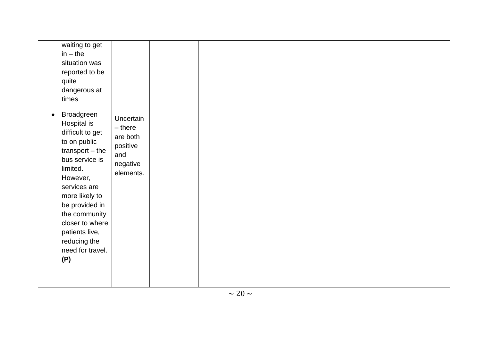| waiting to get<br>$in - the$<br>situation was<br>reported to be<br>quite<br>dangerous at<br>times<br>Broadgreen<br>$\bullet$<br>Hospital is<br>difficult to get<br>to on public<br>$transport - the$<br>bus service is<br>limited.<br>However,<br>services are<br>more likely to<br>be provided in<br>the community<br>closer to where<br>patients live,<br>reducing the<br>need for travel.<br>(P) | Uncertain<br>$-$ there<br>are both<br>positive<br>and<br>negative<br>elements. |  |  |  |
|-----------------------------------------------------------------------------------------------------------------------------------------------------------------------------------------------------------------------------------------------------------------------------------------------------------------------------------------------------------------------------------------------------|--------------------------------------------------------------------------------|--|--|--|
|                                                                                                                                                                                                                                                                                                                                                                                                     |                                                                                |  |  |  |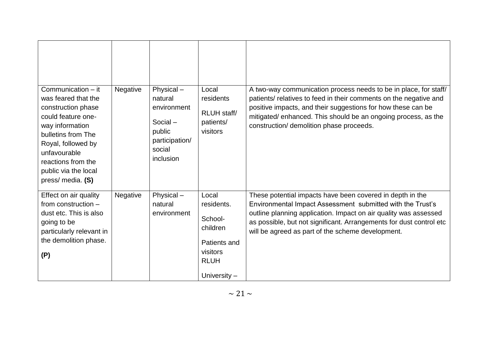| Communication - it<br>was feared that the<br>construction phase<br>could feature one-<br>way information<br>bulletins from The<br>Royal, followed by<br>unfavourable<br>reactions from the<br>public via the local<br>press/ media. (S) | Negative | Physical-<br>natural<br>environment<br>Social-<br>public<br>participation/<br>social<br>inclusion | Local<br>residents<br>RLUH staff/<br>patients/<br>visitors                                            | A two-way communication process needs to be in place, for staff/<br>patients/ relatives to feed in their comments on the negative and<br>positive impacts, and their suggestions for how these can be<br>mitigated/enhanced. This should be an ongoing process, as the<br>construction/ demolition phase proceeds.      |
|-----------------------------------------------------------------------------------------------------------------------------------------------------------------------------------------------------------------------------------------|----------|---------------------------------------------------------------------------------------------------|-------------------------------------------------------------------------------------------------------|-------------------------------------------------------------------------------------------------------------------------------------------------------------------------------------------------------------------------------------------------------------------------------------------------------------------------|
| Effect on air quality<br>from construction -<br>dust etc. This is also<br>going to be<br>particularly relevant in<br>the demolition phase.<br>(P)                                                                                       | Negative | Physical-<br>natural<br>environment                                                               | Local<br>residents.<br>School-<br>children<br>Patients and<br>visitors<br><b>RLUH</b><br>University - | These potential impacts have been covered in depth in the<br>Environmental Impact Assessment submitted with the Trust's<br>outline planning application. Impact on air quality was assessed<br>as possible, but not significant. Arrangements for dust control etc<br>will be agreed as part of the scheme development. |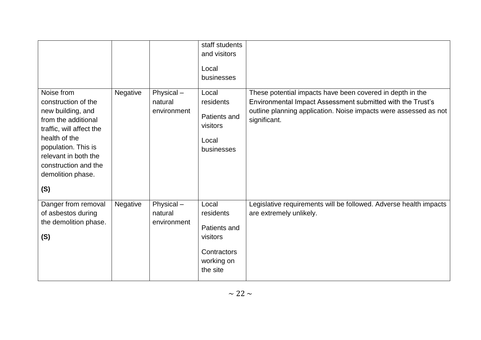|                                                                                                                                                                                                                               |          |                                     | staff students<br>and visitors<br>Local<br>businesses                                   |                                                                                                                                                                                                             |
|-------------------------------------------------------------------------------------------------------------------------------------------------------------------------------------------------------------------------------|----------|-------------------------------------|-----------------------------------------------------------------------------------------|-------------------------------------------------------------------------------------------------------------------------------------------------------------------------------------------------------------|
| Noise from<br>construction of the<br>new building, and<br>from the additional<br>traffic, will affect the<br>health of the<br>population. This is<br>relevant in both the<br>construction and the<br>demolition phase.<br>(S) | Negative | Physical-<br>natural<br>environment | Local<br>residents<br>Patients and<br>visitors<br>Local<br>businesses                   | These potential impacts have been covered in depth in the<br>Environmental Impact Assessment submitted with the Trust's<br>outline planning application. Noise impacts were assessed as not<br>significant. |
| Danger from removal<br>of asbestos during<br>the demolition phase.<br>(S)                                                                                                                                                     | Negative | Physical-<br>natural<br>environment | Local<br>residents<br>Patients and<br>visitors<br>Contractors<br>working on<br>the site | Legislative requirements will be followed. Adverse health impacts<br>are extremely unlikely.                                                                                                                |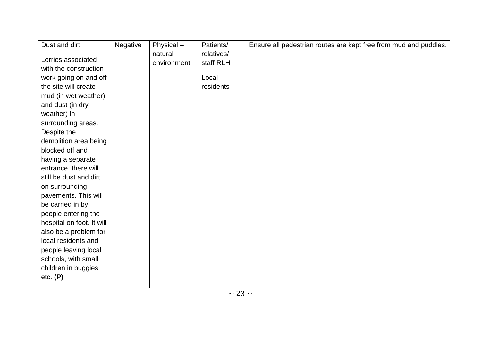| Dust and dirt             | Negative | Physical-   | Patients/  | Ensure all pedestrian routes are kept free from mud and puddles. |
|---------------------------|----------|-------------|------------|------------------------------------------------------------------|
|                           |          | natural     | relatives/ |                                                                  |
| Lorries associated        |          | environment | staff RLH  |                                                                  |
| with the construction     |          |             |            |                                                                  |
| work going on and off     |          |             | Local      |                                                                  |
| the site will create      |          |             | residents  |                                                                  |
| mud (in wet weather)      |          |             |            |                                                                  |
| and dust (in dry          |          |             |            |                                                                  |
| weather) in               |          |             |            |                                                                  |
| surrounding areas.        |          |             |            |                                                                  |
| Despite the               |          |             |            |                                                                  |
| demolition area being     |          |             |            |                                                                  |
| blocked off and           |          |             |            |                                                                  |
| having a separate         |          |             |            |                                                                  |
| entrance, there will      |          |             |            |                                                                  |
| still be dust and dirt    |          |             |            |                                                                  |
| on surrounding            |          |             |            |                                                                  |
| pavements. This will      |          |             |            |                                                                  |
| be carried in by          |          |             |            |                                                                  |
| people entering the       |          |             |            |                                                                  |
| hospital on foot. It will |          |             |            |                                                                  |
| also be a problem for     |          |             |            |                                                                  |
| local residents and       |          |             |            |                                                                  |
| people leaving local      |          |             |            |                                                                  |
| schools, with small       |          |             |            |                                                                  |
| children in buggies       |          |             |            |                                                                  |
| etc. (P)                  |          |             |            |                                                                  |
|                           |          |             |            |                                                                  |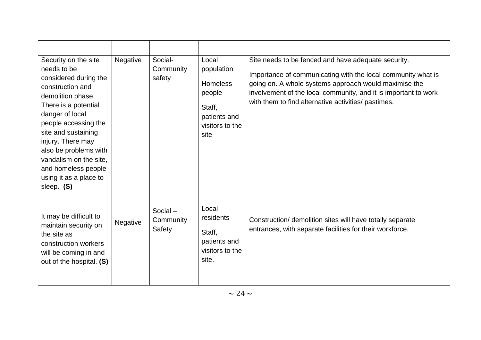| Security on the site<br>needs to be<br>considered during the<br>construction and<br>demolition phase.<br>There is a potential<br>danger of local<br>people accessing the<br>site and sustaining<br>injury. There may<br>also be problems with<br>vandalism on the site,<br>and homeless people<br>using it as a place to<br>sleep. (S) | <b>Negative</b> | Social-<br>Community<br>safety    | Local<br>population<br><b>Homeless</b><br>people<br>Staff,<br>patients and<br>visitors to the<br>site | Site needs to be fenced and have adequate security.<br>Importance of communicating with the local community what is<br>going on. A whole systems approach would maximise the<br>involvement of the local community, and it is important to work<br>with them to find alternative activities/ pastimes. |
|----------------------------------------------------------------------------------------------------------------------------------------------------------------------------------------------------------------------------------------------------------------------------------------------------------------------------------------|-----------------|-----------------------------------|-------------------------------------------------------------------------------------------------------|--------------------------------------------------------------------------------------------------------------------------------------------------------------------------------------------------------------------------------------------------------------------------------------------------------|
| It may be difficult to<br>maintain security on<br>the site as<br>construction workers<br>will be coming in and<br>out of the hospital. (S)                                                                                                                                                                                             | Negative        | Social $-$<br>Community<br>Safety | Local<br>residents<br>Staff,<br>patients and<br>visitors to the<br>site.                              | Construction/ demolition sites will have totally separate<br>entrances, with separate facilities for their workforce.                                                                                                                                                                                  |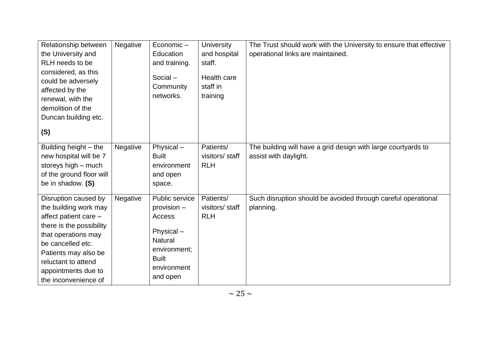| Relationship between     | Negative | Economic-      | <b>University</b> | The Trust should work with the University to ensure that effective |
|--------------------------|----------|----------------|-------------------|--------------------------------------------------------------------|
| the University and       |          | Education      | and hospital      | operational links are maintained.                                  |
| RLH needs to be          |          | and training.  | staff.            |                                                                    |
| considered, as this      |          |                |                   |                                                                    |
|                          |          | Social-        | Health care       |                                                                    |
| could be adversely       |          | Community      | staff in          |                                                                    |
| affected by the          |          | networks.      | training          |                                                                    |
| renewal, with the        |          |                |                   |                                                                    |
| demolition of the        |          |                |                   |                                                                    |
| Duncan building etc.     |          |                |                   |                                                                    |
| (S)                      |          |                |                   |                                                                    |
| Building height – the    | Negative | Physical-      | Patients/         | The building will have a grid design with large courtyards to      |
| new hospital will be 7   |          | <b>Built</b>   | visitors/ staff   | assist with daylight.                                              |
| storeys high - much      |          | environment    | <b>RLH</b>        |                                                                    |
| of the ground floor will |          | and open       |                   |                                                                    |
| be in shadow. (S)        |          | space.         |                   |                                                                    |
|                          |          |                |                   |                                                                    |
| Disruption caused by     | Negative | Public service | Patients/         | Such disruption should be avoided through careful operational      |
| the building work may    |          | provision -    | visitors/ staff   | planning.                                                          |
| affect patient care -    |          | Access         | <b>RLH</b>        |                                                                    |
| there is the possibility |          |                |                   |                                                                    |
| that operations may      |          | Physical-      |                   |                                                                    |
| be cancelled etc.        |          | <b>Natural</b> |                   |                                                                    |
| Patients may also be     |          | environment;   |                   |                                                                    |
| reluctant to attend      |          | <b>Built</b>   |                   |                                                                    |
| appointments due to      |          | environment    |                   |                                                                    |
| the inconvenience of     |          | and open       |                   |                                                                    |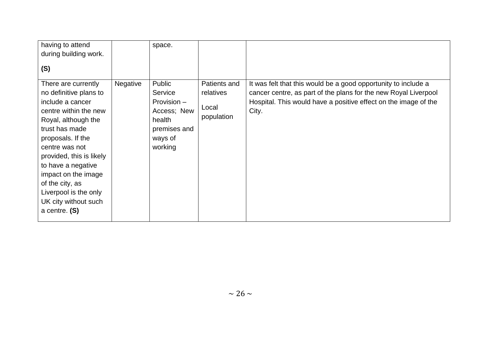| having to attend                                                                                                                                                                                                                                                                                                                           |                 | space.                                                                                          |                                                  |                                                                                                                                                                                                               |
|--------------------------------------------------------------------------------------------------------------------------------------------------------------------------------------------------------------------------------------------------------------------------------------------------------------------------------------------|-----------------|-------------------------------------------------------------------------------------------------|--------------------------------------------------|---------------------------------------------------------------------------------------------------------------------------------------------------------------------------------------------------------------|
| during building work.                                                                                                                                                                                                                                                                                                                      |                 |                                                                                                 |                                                  |                                                                                                                                                                                                               |
| (S)                                                                                                                                                                                                                                                                                                                                        |                 |                                                                                                 |                                                  |                                                                                                                                                                                                               |
| There are currently<br>no definitive plans to<br>include a cancer<br>centre within the new<br>Royal, although the<br>trust has made<br>proposals. If the<br>centre was not<br>provided, this is likely<br>to have a negative<br>impact on the image<br>of the city, as<br>Liverpool is the only<br>UK city without such<br>a centre. $(S)$ | <b>Negative</b> | Public<br>Service<br>Provision -<br>Access; New<br>health<br>premises and<br>ways of<br>working | Patients and<br>relatives<br>Local<br>population | It was felt that this would be a good opportunity to include a<br>cancer centre, as part of the plans for the new Royal Liverpool<br>Hospital. This would have a positive effect on the image of the<br>City. |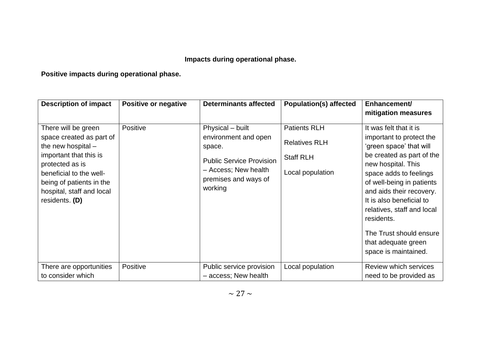# **Impacts during operational phase.**

# **Positive impacts during operational phase.**

| <b>Description of impact</b>                                                                                                                                                                                               | Positive or negative | <b>Determinants affected</b>                                                                                                                     | <b>Population(s) affected</b>                                                       | Enhancement/<br>mitigation measures                                                                                                                                                                                                                                                                                                                                   |
|----------------------------------------------------------------------------------------------------------------------------------------------------------------------------------------------------------------------------|----------------------|--------------------------------------------------------------------------------------------------------------------------------------------------|-------------------------------------------------------------------------------------|-----------------------------------------------------------------------------------------------------------------------------------------------------------------------------------------------------------------------------------------------------------------------------------------------------------------------------------------------------------------------|
| There will be green<br>space created as part of<br>the new hospital $-$<br>important that this is<br>protected as is<br>beneficial to the well-<br>being of patients in the<br>hospital, staff and local<br>residents. (D) | Positive             | Physical - built<br>environment and open<br>space.<br><b>Public Service Provision</b><br>- Access; New health<br>premises and ways of<br>working | <b>Patients RLH</b><br><b>Relatives RLH</b><br><b>Staff RLH</b><br>Local population | It was felt that it is<br>important to protect the<br>'green space' that will<br>be created as part of the<br>new hospital. This<br>space adds to feelings<br>of well-being in patients<br>and aids their recovery.<br>It is also beneficial to<br>relatives, staff and local<br>residents.<br>The Trust should ensure<br>that adequate green<br>space is maintained. |
| There are opportunities<br>to consider which                                                                                                                                                                               | <b>Positive</b>      | Public service provision<br>- access; New health                                                                                                 | Local population                                                                    | Review which services<br>need to be provided as                                                                                                                                                                                                                                                                                                                       |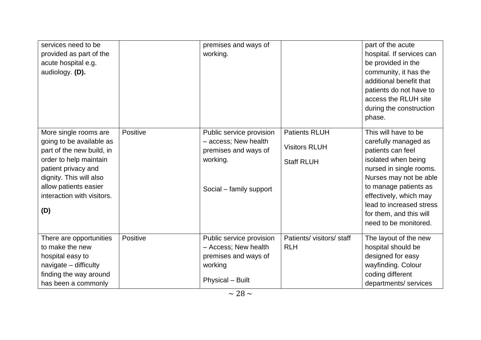| services need to be<br>provided as part of the<br>acute hospital e.g.<br>audiology. (D).                                                                                                                                 |          | premises and ways of<br>working.                                                                                |                                                                   | part of the acute<br>hospital. If services can<br>be provided in the<br>community, it has the<br>additional benefit that<br>patients do not have to<br>access the RLUH site<br>during the construction<br>phase.                                                                 |
|--------------------------------------------------------------------------------------------------------------------------------------------------------------------------------------------------------------------------|----------|-----------------------------------------------------------------------------------------------------------------|-------------------------------------------------------------------|----------------------------------------------------------------------------------------------------------------------------------------------------------------------------------------------------------------------------------------------------------------------------------|
| More single rooms are<br>going to be available as<br>part of the new build, in<br>order to help maintain<br>patient privacy and<br>dignity. This will also<br>allow patients easier<br>interaction with visitors.<br>(D) | Positive | Public service provision<br>- access; New health<br>premises and ways of<br>working.<br>Social - family support | <b>Patients RLUH</b><br><b>Visitors RLUH</b><br><b>Staff RLUH</b> | This will have to be<br>carefully managed as<br>patients can feel<br>isolated when being<br>nursed in single rooms.<br>Nurses may not be able<br>to manage patients as<br>effectively, which may<br>lead to increased stress<br>for them, and this will<br>need to be monitored. |
| There are opportunities<br>to make the new<br>hospital easy to<br>navigate - difficulty<br>finding the way around<br>has been a commonly                                                                                 | Positive | Public service provision<br>- Access; New health<br>premises and ways of<br>working<br><b>Physical - Built</b>  | Patients/ visitors/ staff<br><b>RLH</b>                           | The layout of the new<br>hospital should be<br>designed for easy<br>wayfinding. Colour<br>coding different<br>departments/ services                                                                                                                                              |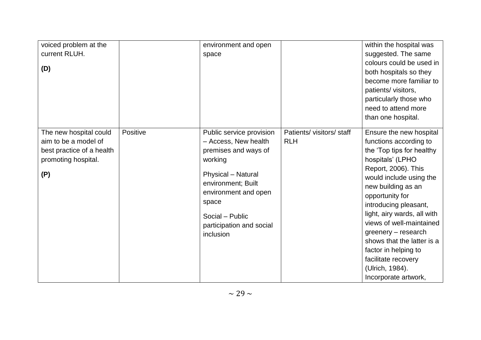| voiced problem at the<br>current RLUH.<br>(D)                                                             |          | environment and open<br>space                                                                                                                                                                                                |                                       | within the hospital was<br>suggested. The same<br>colours could be used in<br>both hospitals so they<br>become more familiar to<br>patients/ visitors,<br>particularly those who<br>need to attend more<br>than one hospital.                                                                                                                                                                                                    |
|-----------------------------------------------------------------------------------------------------------|----------|------------------------------------------------------------------------------------------------------------------------------------------------------------------------------------------------------------------------------|---------------------------------------|----------------------------------------------------------------------------------------------------------------------------------------------------------------------------------------------------------------------------------------------------------------------------------------------------------------------------------------------------------------------------------------------------------------------------------|
| The new hospital could<br>aim to be a model of<br>best practice of a health<br>promoting hospital.<br>(P) | Positive | Public service provision<br>- Access, New health<br>premises and ways of<br>working<br>Physical - Natural<br>environment; Built<br>environment and open<br>space<br>Social - Public<br>participation and social<br>inclusion | Patients/visitors/staff<br><b>RLH</b> | Ensure the new hospital<br>functions according to<br>the 'Top tips for healthy<br>hospitals' (LPHO<br>Report, 2006). This<br>would include using the<br>new building as an<br>opportunity for<br>introducing pleasant,<br>light, airy wards, all with<br>views of well-maintained<br>greenery – research<br>shows that the latter is a<br>factor in helping to<br>facilitate recovery<br>(Ulrich, 1984).<br>Incorporate artwork, |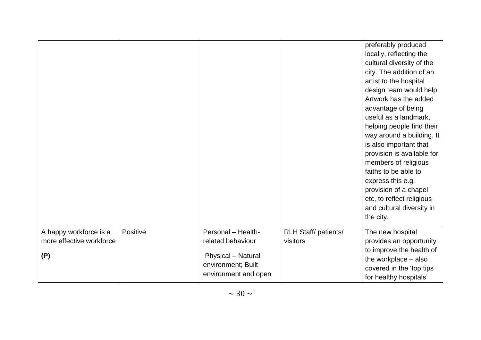|                          |          |                      |                            | preferably produced<br>locally, reflecting the<br>cultural diversity of the<br>city. The addition of an<br>artist to the hospital<br>design team would help.<br>Artwork has the added<br>advantage of being<br>useful as a landmark,<br>helping people find their<br>way around a building. It<br>is also important that<br>provision is available for<br>members of religious<br>faiths to be able to<br>express this e.g.<br>provision of a chapel<br>etc, to reflect religious<br>and cultural diversity in<br>the city. |
|--------------------------|----------|----------------------|----------------------------|-----------------------------------------------------------------------------------------------------------------------------------------------------------------------------------------------------------------------------------------------------------------------------------------------------------------------------------------------------------------------------------------------------------------------------------------------------------------------------------------------------------------------------|
| A happy workforce is a   | Positive | Personal - Health-   | <b>RLH Staff/patients/</b> | The new hospital                                                                                                                                                                                                                                                                                                                                                                                                                                                                                                            |
| more effective workforce |          | related behaviour    | visitors                   | provides an opportunity<br>to improve the health of                                                                                                                                                                                                                                                                                                                                                                                                                                                                         |
| (P)                      |          | Physical - Natural   |                            | the workplace - also                                                                                                                                                                                                                                                                                                                                                                                                                                                                                                        |
|                          |          | environment; Built   |                            | covered in the 'top tips                                                                                                                                                                                                                                                                                                                                                                                                                                                                                                    |
|                          |          | environment and open |                            | for healthy hospitals'                                                                                                                                                                                                                                                                                                                                                                                                                                                                                                      |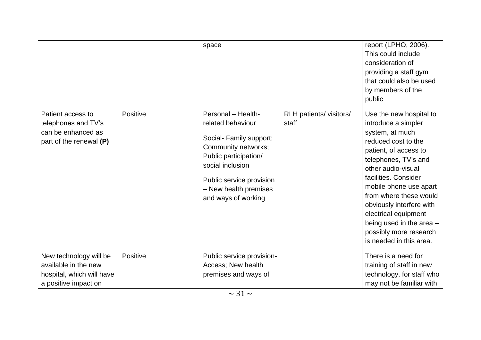|                                                                                                     |          | space                                                                                                                                                                                                              |                                  | report (LPHO, 2006).<br>This could include<br>consideration of<br>providing a staff gym<br>that could also be used<br>by members of the<br>public                                                                                                                                                                                                                                |
|-----------------------------------------------------------------------------------------------------|----------|--------------------------------------------------------------------------------------------------------------------------------------------------------------------------------------------------------------------|----------------------------------|----------------------------------------------------------------------------------------------------------------------------------------------------------------------------------------------------------------------------------------------------------------------------------------------------------------------------------------------------------------------------------|
| Patient access to<br>telephones and TV's<br>can be enhanced as<br>part of the renewal (P)           | Positive | Personal - Health-<br>related behaviour<br>Social- Family support;<br>Community networks;<br>Public participation/<br>social inclusion<br>Public service provision<br>- New health premises<br>and ways of working | RLH patients/ visitors/<br>staff | Use the new hospital to<br>introduce a simpler<br>system, at much<br>reduced cost to the<br>patient, of access to<br>telephones, TV's and<br>other audio-visual<br>facilities. Consider<br>mobile phone use apart<br>from where these would<br>obviously interfere with<br>electrical equipment<br>being used in the area -<br>possibly more research<br>is needed in this area. |
| New technology will be<br>available in the new<br>hospital, which will have<br>a positive impact on | Positive | Public service provision-<br>Access; New health<br>premises and ways of                                                                                                                                            |                                  | There is a need for<br>training of staff in new<br>technology, for staff who<br>may not be familiar with                                                                                                                                                                                                                                                                         |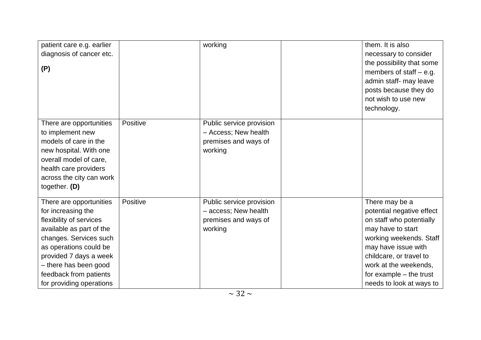| patient care e.g. earlier<br>diagnosis of cancer etc.<br>(P)                                                                                                                                                                                                      |          | working                                                                             | them. It is also<br>necessary to consider<br>the possibility that some<br>members of staff $-$ e.g.<br>admin staff- may leave<br>posts because they do<br>not wish to use new<br>technology.                                                              |
|-------------------------------------------------------------------------------------------------------------------------------------------------------------------------------------------------------------------------------------------------------------------|----------|-------------------------------------------------------------------------------------|-----------------------------------------------------------------------------------------------------------------------------------------------------------------------------------------------------------------------------------------------------------|
| There are opportunities<br>to implement new<br>models of care in the<br>new hospital. With one<br>overall model of care,<br>health care providers<br>across the city can work<br>together. (D)                                                                    | Positive | Public service provision<br>- Access; New health<br>premises and ways of<br>working |                                                                                                                                                                                                                                                           |
| There are opportunities<br>for increasing the<br>flexibility of services<br>available as part of the<br>changes. Services such<br>as operations could be<br>provided 7 days a week<br>- there has been good<br>feedback from patients<br>for providing operations | Positive | Public service provision<br>- access; New health<br>premises and ways of<br>working | There may be a<br>potential negative effect<br>on staff who potentially<br>may have to start<br>working weekends. Staff<br>may have issue with<br>childcare, or travel to<br>work at the weekends,<br>for example – the trust<br>needs to look at ways to |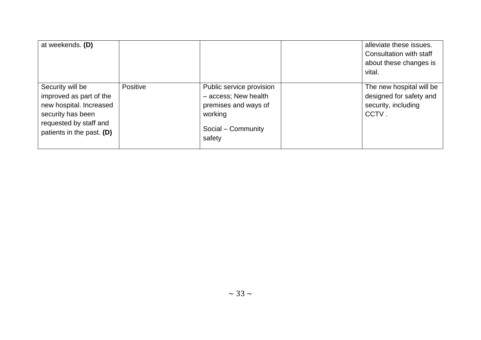| at weekends. (D)                                                                                                                                   |          |                                                                                                                     | alleviate these issues.<br>Consultation with staff<br>about these changes is<br>vital. |
|----------------------------------------------------------------------------------------------------------------------------------------------------|----------|---------------------------------------------------------------------------------------------------------------------|----------------------------------------------------------------------------------------|
| Security will be<br>improved as part of the<br>new hospital. Increased<br>security has been<br>requested by staff and<br>patients in the past. (D) | Positive | Public service provision<br>- access; New health<br>premises and ways of<br>working<br>Social - Community<br>safety | The new hospital will be<br>designed for safety and<br>security, including<br>CCTV.    |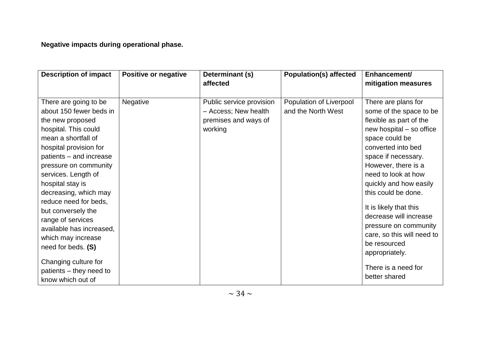**Negative impacts during operational phase.**

| <b>Description of impact</b> | Positive or negative | Determinant (s)          | <b>Population(s) affected</b> | Enhancement/               |
|------------------------------|----------------------|--------------------------|-------------------------------|----------------------------|
|                              |                      | affected                 |                               | mitigation measures        |
|                              |                      |                          |                               |                            |
| There are going to be        | Negative             | Public service provision | Population of Liverpool       | There are plans for        |
| about 150 fewer beds in      |                      | - Access; New health     | and the North West            | some of the space to be    |
| the new proposed             |                      | premises and ways of     |                               | flexible as part of the    |
| hospital. This could         |                      | working                  |                               | new hospital – so office   |
| mean a shortfall of          |                      |                          |                               | space could be             |
| hospital provision for       |                      |                          |                               | converted into bed         |
| patients - and increase      |                      |                          |                               | space if necessary.        |
| pressure on community        |                      |                          |                               | However, there is a        |
| services. Length of          |                      |                          |                               | need to look at how        |
| hospital stay is             |                      |                          |                               | quickly and how easily     |
| decreasing, which may        |                      |                          |                               | this could be done.        |
| reduce need for beds,        |                      |                          |                               |                            |
| but conversely the           |                      |                          |                               | It is likely that this     |
| range of services            |                      |                          |                               | decrease will increase     |
| available has increased,     |                      |                          |                               | pressure on community      |
| which may increase           |                      |                          |                               | care, so this will need to |
| need for beds. (S)           |                      |                          |                               | be resourced               |
|                              |                      |                          |                               | appropriately.             |
| Changing culture for         |                      |                          |                               |                            |
| patients – they need to      |                      |                          |                               | There is a need for        |
| know which out of            |                      |                          |                               | better shared              |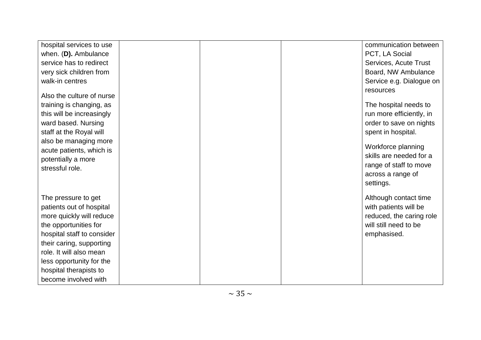| hospital services to use                                                           |  | communication between                                          |
|------------------------------------------------------------------------------------|--|----------------------------------------------------------------|
| when. (D). Ambulance                                                               |  | PCT, LA Social                                                 |
| service has to redirect                                                            |  | Services, Acute Trust                                          |
| very sick children from                                                            |  | Board, NW Ambulance                                            |
| walk-in centres                                                                    |  | Service e.g. Dialogue on                                       |
| Also the culture of nurse<br>training is changing, as<br>this will be increasingly |  | resources<br>The hospital needs to<br>run more efficiently, in |
| ward based. Nursing                                                                |  | order to save on nights                                        |
| staff at the Royal will                                                            |  | spent in hospital.                                             |
| also be managing more                                                              |  |                                                                |
| acute patients, which is                                                           |  | Workforce planning<br>skills are needed for a                  |
| potentially a more                                                                 |  |                                                                |
| stressful role.                                                                    |  | range of staff to move<br>across a range of                    |
|                                                                                    |  | settings.                                                      |
| The pressure to get                                                                |  | Although contact time                                          |
| patients out of hospital                                                           |  | with patients will be                                          |
| more quickly will reduce                                                           |  | reduced, the caring role                                       |
| the opportunities for                                                              |  | will still need to be                                          |
| hospital staff to consider                                                         |  | emphasised.                                                    |
| their caring, supporting                                                           |  |                                                                |
| role. It will also mean                                                            |  |                                                                |
| less opportunity for the                                                           |  |                                                                |
| hospital therapists to                                                             |  |                                                                |
| become involved with                                                               |  |                                                                |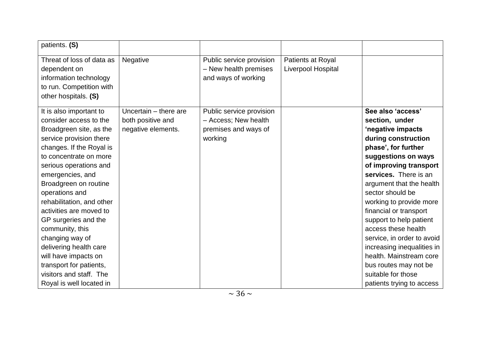| patients. (S)             |                       |                          |                    |                            |
|---------------------------|-----------------------|--------------------------|--------------------|----------------------------|
| Threat of loss of data as | Negative              | Public service provision | Patients at Royal  |                            |
| dependent on              |                       | - New health premises    | Liverpool Hospital |                            |
| information technology    |                       | and ways of working      |                    |                            |
| to run. Competition with  |                       |                          |                    |                            |
| other hospitals. (S)      |                       |                          |                    |                            |
| It is also important to   | Uncertain - there are | Public service provision |                    | See also 'access'          |
| consider access to the    | both positive and     | - Access; New health     |                    | section, under             |
| Broadgreen site, as the   | negative elements.    | premises and ways of     |                    | 'negative impacts          |
| service provision there   |                       | working                  |                    | during construction        |
| changes. If the Royal is  |                       |                          |                    | phase', for further        |
| to concentrate on more    |                       |                          |                    | suggestions on ways        |
| serious operations and    |                       |                          |                    | of improving transport     |
| emergencies, and          |                       |                          |                    | services. There is an      |
| Broadgreen on routine     |                       |                          |                    | argument that the health   |
| operations and            |                       |                          |                    | sector should be           |
| rehabilitation, and other |                       |                          |                    | working to provide more    |
| activities are moved to   |                       |                          |                    | financial or transport     |
| GP surgeries and the      |                       |                          |                    | support to help patient    |
| community, this           |                       |                          |                    | access these health        |
| changing way of           |                       |                          |                    | service, in order to avoid |
| delivering health care    |                       |                          |                    | increasing inequalities in |
| will have impacts on      |                       |                          |                    | health. Mainstream core    |
| transport for patients,   |                       |                          |                    | bus routes may not be      |
| visitors and staff. The   |                       |                          |                    | suitable for those         |
| Royal is well located in  |                       |                          |                    | patients trying to access  |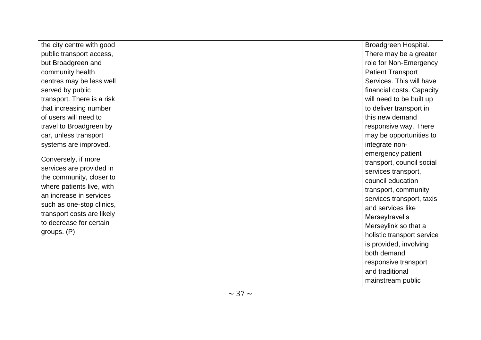| the city centre with good                            |  | Broadgreen Hospital.       |
|------------------------------------------------------|--|----------------------------|
| public transport access,                             |  | There may be a greater     |
| but Broadgreen and                                   |  | role for Non-Emergency     |
| community health                                     |  | <b>Patient Transport</b>   |
| centres may be less well                             |  | Services. This will have   |
| served by public                                     |  | financial costs. Capacity  |
| transport. There is a risk                           |  | will need to be built up   |
| that increasing number                               |  | to deliver transport in    |
| of users will need to                                |  | this new demand            |
| travel to Broadgreen by                              |  | responsive way. There      |
| car, unless transport                                |  | may be opportunities to    |
| systems are improved.                                |  | integrate non-             |
|                                                      |  | emergency patient          |
| Conversely, if more                                  |  | transport, council social  |
| services are provided in                             |  | services transport,        |
| the community, closer to                             |  | council education          |
| where patients live, with<br>an increase in services |  | transport, community       |
|                                                      |  | services transport, taxis  |
| such as one-stop clinics,                            |  | and services like          |
| transport costs are likely                           |  | Merseytravel's             |
| to decrease for certain                              |  | Merseylink so that a       |
| groups. (P)                                          |  | holistic transport service |
|                                                      |  | is provided, involving     |
|                                                      |  | both demand                |
|                                                      |  | responsive transport       |
|                                                      |  | and traditional            |
|                                                      |  | mainstream public          |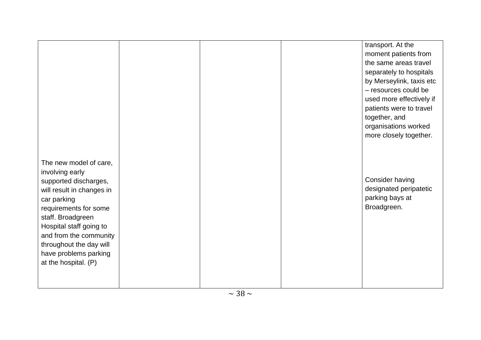|                                                                                                                                                                                                                                                                                               |  | transport. At the<br>moment patients from<br>the same areas travel<br>separately to hospitals<br>by Merseylink, taxis etc<br>- resources could be<br>used more effectively if<br>patients were to travel<br>together, and<br>organisations worked |
|-----------------------------------------------------------------------------------------------------------------------------------------------------------------------------------------------------------------------------------------------------------------------------------------------|--|---------------------------------------------------------------------------------------------------------------------------------------------------------------------------------------------------------------------------------------------------|
| The new model of care,<br>involving early<br>supported discharges,<br>will result in changes in<br>car parking<br>requirements for some<br>staff. Broadgreen<br>Hospital staff going to<br>and from the community<br>throughout the day will<br>have problems parking<br>at the hospital. (P) |  | more closely together.<br>Consider having<br>designated peripatetic<br>parking bays at<br>Broadgreen.                                                                                                                                             |
|                                                                                                                                                                                                                                                                                               |  |                                                                                                                                                                                                                                                   |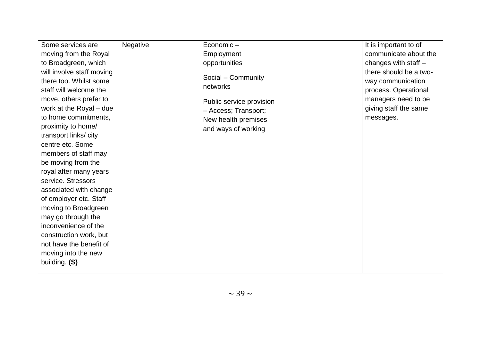| Some services are         | Negative | Economic-                | It is important to of  |
|---------------------------|----------|--------------------------|------------------------|
| moving from the Royal     |          | Employment               | communicate about the  |
| to Broadgreen, which      |          | opportunities            | changes with staff $-$ |
| will involve staff moving |          |                          | there should be a two- |
| there too. Whilst some    |          | Social - Community       | way communication      |
| staff will welcome the    |          | networks                 | process. Operational   |
| move, others prefer to    |          | Public service provision | managers need to be    |
| work at the Royal - due   |          | - Access; Transport;     | giving staff the same  |
| to home commitments,      |          | New health premises      | messages.              |
| proximity to home/        |          | and ways of working      |                        |
| transport links/city      |          |                          |                        |
| centre etc. Some          |          |                          |                        |
| members of staff may      |          |                          |                        |
| be moving from the        |          |                          |                        |
| royal after many years    |          |                          |                        |
| service. Stressors        |          |                          |                        |
| associated with change    |          |                          |                        |
| of employer etc. Staff    |          |                          |                        |
| moving to Broadgreen      |          |                          |                        |
| may go through the        |          |                          |                        |
| inconvenience of the      |          |                          |                        |
| construction work, but    |          |                          |                        |
| not have the benefit of   |          |                          |                        |
| moving into the new       |          |                          |                        |
| building. (S)             |          |                          |                        |
|                           |          |                          |                        |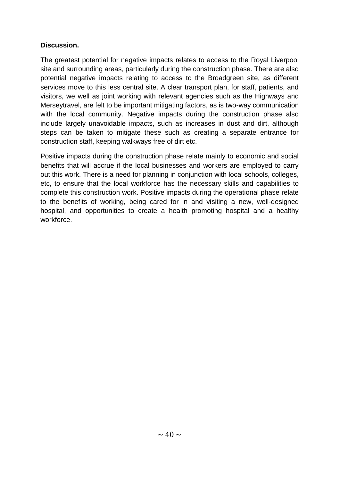### **Discussion.**

The greatest potential for negative impacts relates to access to the Royal Liverpool site and surrounding areas, particularly during the construction phase. There are also potential negative impacts relating to access to the Broadgreen site, as different services move to this less central site. A clear transport plan, for staff, patients, and visitors, we well as joint working with relevant agencies such as the Highways and Merseytravel, are felt to be important mitigating factors, as is two-way communication with the local community. Negative impacts during the construction phase also include largely unavoidable impacts, such as increases in dust and dirt, although steps can be taken to mitigate these such as creating a separate entrance for construction staff, keeping walkways free of dirt etc.

Positive impacts during the construction phase relate mainly to economic and social benefits that will accrue if the local businesses and workers are employed to carry out this work. There is a need for planning in conjunction with local schools, colleges, etc, to ensure that the local workforce has the necessary skills and capabilities to complete this construction work. Positive impacts during the operational phase relate to the benefits of working, being cared for in and visiting a new, well-designed hospital, and opportunities to create a health promoting hospital and a healthy workforce.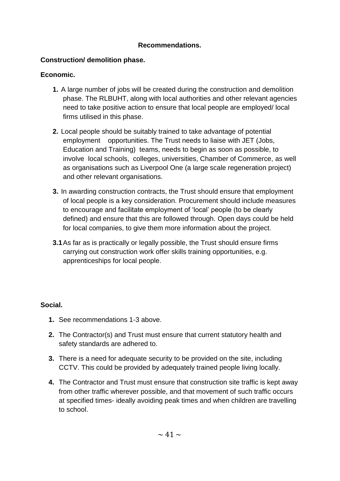### **Recommendations.**

### **Construction/ demolition phase.**

### **Economic.**

- **1.** A large number of jobs will be created during the construction and demolition phase. The RLBUHT, along with local authorities and other relevant agencies need to take positive action to ensure that local people are employed/ local firms utilised in this phase.
- **2.** Local people should be suitably trained to take advantage of potential employment opportunities. The Trust needs to liaise with JET (Jobs, Education and Training) teams, needs to begin as soon as possible, to involve local schools, colleges, universities, Chamber of Commerce, as well as organisations such as Liverpool One (a large scale regeneration project) and other relevant organisations.
- **3.** In awarding construction contracts, the Trust should ensure that employment of local people is a key consideration. Procurement should include measures to encourage and facilitate employment of "local" people (to be clearly defined) and ensure that this are followed through. Open days could be held for local companies, to give them more information about the project.
- **3.1**As far as is practically or legally possible, the Trust should ensure firms carrying out construction work offer skills training opportunities, e.g. apprenticeships for local people.

### **Social.**

- **1.** See recommendations 1-3 above.
- **2.** The Contractor(s) and Trust must ensure that current statutory health and safety standards are adhered to.
- **3.** There is a need for adequate security to be provided on the site, including CCTV. This could be provided by adequately trained people living locally.
- **4.** The Contractor and Trust must ensure that construction site traffic is kept away from other traffic wherever possible, and that movement of such traffic occurs at specified times- ideally avoiding peak times and when children are travelling to school.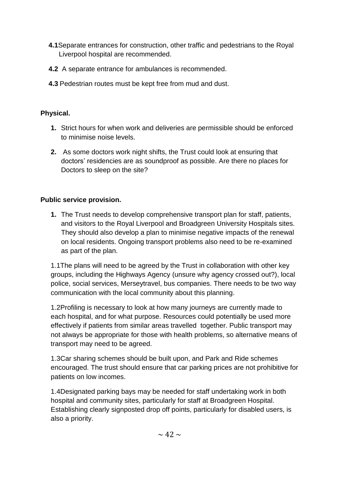- **4.1**Separate entrances for construction, other traffic and pedestrians to the Royal Liverpool hospital are recommended.
- **4.2** A separate entrance for ambulances is recommended.
- **4.3** Pedestrian routes must be kept free from mud and dust.

### **Physical.**

- **1.** Strict hours for when work and deliveries are permissible should be enforced to minimise noise levels.
- **2.** As some doctors work night shifts, the Trust could look at ensuring that doctors" residencies are as soundproof as possible. Are there no places for Doctors to sleep on the site?

### **Public service provision.**

**1.** The Trust needs to develop comprehensive transport plan for staff, patients, and visitors to the Royal Liverpool and Broadgreen University Hospitals sites. They should also develop a plan to minimise negative impacts of the renewal on local residents. Ongoing transport problems also need to be re-examined as part of the plan.

1.1The plans will need to be agreed by the Trust in collaboration with other key groups, including the Highways Agency (unsure why agency crossed out?), local police, social services, Merseytravel, bus companies. There needs to be two way communication with the local community about this planning.

1.2Profiling is necessary to look at how many journeys are currently made to each hospital, and for what purpose. Resources could potentially be used more effectively if patients from similar areas travelled together. Public transport may not always be appropriate for those with health problems, so alternative means of transport may need to be agreed.

1.3Car sharing schemes should be built upon, and Park and Ride schemes encouraged. The trust should ensure that car parking prices are not prohibitive for patients on low incomes.

1.4Designated parking bays may be needed for staff undertaking work in both hospital and community sites, particularly for staff at Broadgreen Hospital. Establishing clearly signposted drop off points, particularly for disabled users, is also a priority.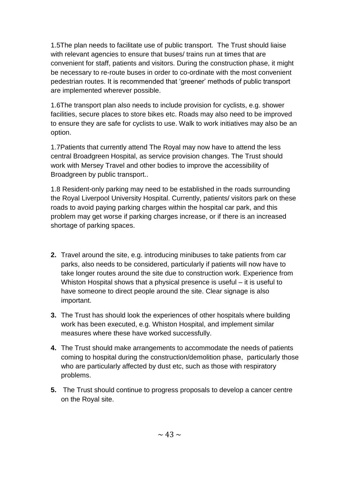1.5The plan needs to facilitate use of public transport. The Trust should liaise with relevant agencies to ensure that buses/ trains run at times that are convenient for staff, patients and visitors. During the construction phase, it might be necessary to re-route buses in order to co-ordinate with the most convenient pedestrian routes. It is recommended that "greener" methods of public transport are implemented wherever possible.

1.6The transport plan also needs to include provision for cyclists, e.g. shower facilities, secure places to store bikes etc. Roads may also need to be improved to ensure they are safe for cyclists to use. Walk to work initiatives may also be an option.

1.7Patients that currently attend The Royal may now have to attend the less central Broadgreen Hospital, as service provision changes. The Trust should work with Mersey Travel and other bodies to improve the accessibility of Broadgreen by public transport..

1.8 Resident-only parking may need to be established in the roads surrounding the Royal Liverpool University Hospital. Currently, patients/ visitors park on these roads to avoid paying parking charges within the hospital car park, and this problem may get worse if parking charges increase, or if there is an increased shortage of parking spaces.

- **2.** Travel around the site, e.g. introducing minibuses to take patients from car parks, also needs to be considered, particularly if patients will now have to take longer routes around the site due to construction work. Experience from Whiston Hospital shows that a physical presence is useful – it is useful to have someone to direct people around the site. Clear signage is also important.
- **3.** The Trust has should look the experiences of other hospitals where building work has been executed, e.g. Whiston Hospital, and implement similar measures where these have worked successfully.
- **4.** The Trust should make arrangements to accommodate the needs of patients coming to hospital during the construction/demolition phase, particularly those who are particularly affected by dust etc, such as those with respiratory problems.
- **5.** The Trust should continue to progress proposals to develop a cancer centre on the Royal site.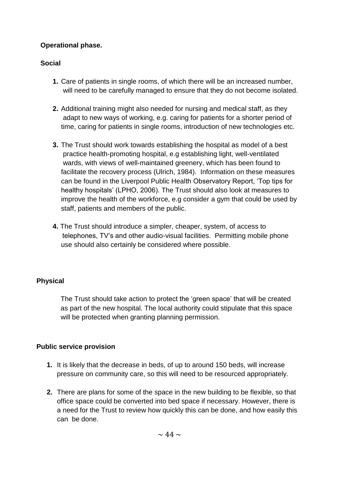### **Operational phase.**

### **Social**

- **1.** Care of patients in single rooms, of which there will be an increased number, will need to be carefully managed to ensure that they do not become isolated.
- **2.** Additional training might also needed for nursing and medical staff, as they adapt to new ways of working, e.g. caring for patients for a shorter period of time, caring for patients in single rooms, introduction of new technologies etc.
- **3.** The Trust should work towards establishing the hospital as model of a best practice health-promoting hospital, e.g establishing light, well-ventilated wards, with views of well-maintained greenery, which has been found to facilitate the recovery process (Ulrich, 1984). Information on these measures can be found in the Liverpool Public Health Observatory Report, "Top tips for healthy hospitals" (LPHO, 2006). The Trust should also look at measures to improve the health of the workforce, e.g consider a gym that could be used by staff, patients and members of the public.
- **4.** The Trust should introduce a simpler, cheaper, system, of access to telephones, TV"s and other audio-visual facilities. Permitting mobile phone use should also certainly be considered where possible.

### **Physical**

The Trust should take action to protect the "green space" that will be created as part of the new hospital. The local authority could stipulate that this space will be protected when granting planning permission.

### **Public service provision**

- **1.** It is likely that the decrease in beds, of up to around 150 beds, will increase pressure on community care, so this will need to be resourced appropriately.
- **2.** There are plans for some of the space in the new building to be flexible, so that office space could be converted into bed space if necessary. However, there is a need for the Trust to review how quickly this can be done, and how easily this can be done.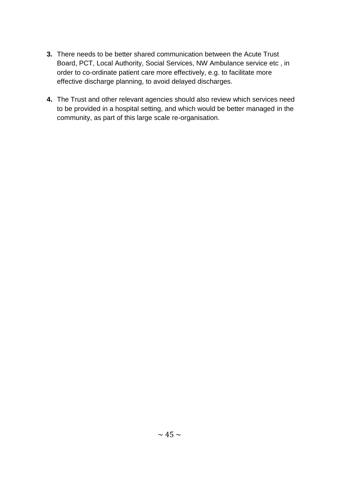- **3.** There needs to be better shared communication between the Acute Trust Board, PCT, Local Authority, Social Services, NW Ambulance service etc , in order to co-ordinate patient care more effectively, e.g. to facilitate more effective discharge planning, to avoid delayed discharges.
- **4.** The Trust and other relevant agencies should also review which services need to be provided in a hospital setting, and which would be better managed in the community, as part of this large scale re-organisation.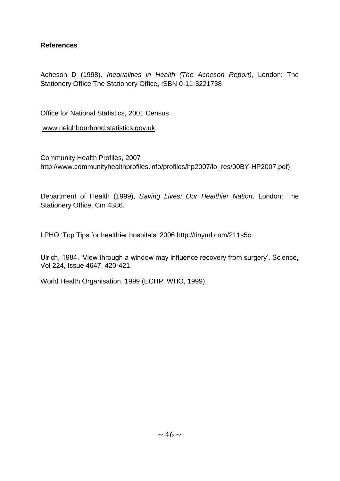### **References**

Acheson D (1998). *Inequalities in Health (The Acheson Report)*, London: The Stationery Office The Stationery Office, ISBN 0-11-3221738

Office for National Statistics, 2001 Census

[www.neighbourhood.statistics.gov.uk](../Local%20Settings/Temporary%20Internet%20Files/Local%20Settings/Temporary%20Internet%20Files/Local%20Settings/Temporary%20Internet%20Files/Local%20Settings/Temporary%20Internet%20Files/Local%20Settings/smoore/smoore/Local%20Settings/Temporary%20Internet%20Files/OLK5B/www.neighbourhood.statistics.gov.uk)

Community Health Profiles, 2007 [http://www.communityhealthprofiles.info/profiles/hp2007/lo\\_res/00BY-HP2007.pdf\)](http://www.communityhealthprofiles.info/profiles/hp2007/lo_res/00BY-HP2007.pdf)

Department of Health (1999), *Saving Lives: Our Healthier Nation*. London: The Stationery Office, Cm 4386.

LPHO "Top Tips for healthier hospitals" 2006 http://tinyurl.com/211s5c

Ulrich, 1984, 'View through a window may influence recovery from surgery'. Science, Vol 224, Issue 4647, 420-421.

World Health Organisation, 1999 (ECHP, WHO, 1999).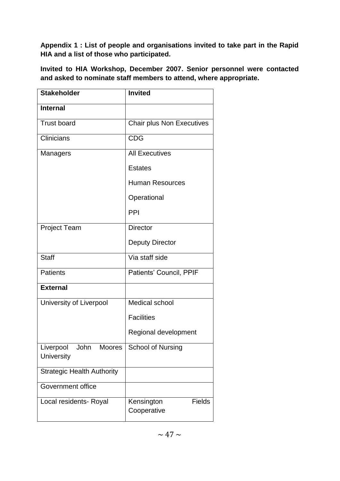**Appendix 1 : List of people and organisations invited to take part in the Rapid HIA and a list of those who participated.**

**Invited to HIA Workshop, December 2007. Senior personnel were contacted and asked to nominate staff members to attend, where appropriate.**

| <b>Stakeholder</b>                                      | <b>Invited</b>                             |
|---------------------------------------------------------|--------------------------------------------|
| <b>Internal</b>                                         |                                            |
| <b>Trust board</b>                                      | <b>Chair plus Non Executives</b>           |
| Clinicians                                              | <b>CDG</b>                                 |
| Managers                                                | <b>All Executives</b>                      |
|                                                         | <b>Estates</b>                             |
|                                                         | <b>Human Resources</b>                     |
|                                                         | Operational                                |
|                                                         | PPI                                        |
| <b>Project Team</b>                                     | <b>Director</b>                            |
|                                                         | <b>Deputy Director</b>                     |
| <b>Staff</b>                                            | Via staff side                             |
| <b>Patients</b>                                         | Patients' Council, PPIF                    |
| <b>External</b>                                         |                                            |
| University of Liverpool                                 | Medical school                             |
|                                                         | <b>Facilities</b>                          |
|                                                         | Regional development                       |
| Liverpool<br>John<br><b>Moores</b><br><b>University</b> | <b>School of Nursing</b>                   |
| <b>Strategic Health Authority</b>                       |                                            |
| Government office                                       |                                            |
| Local residents- Royal                                  | <b>Fields</b><br>Kensington<br>Cooperative |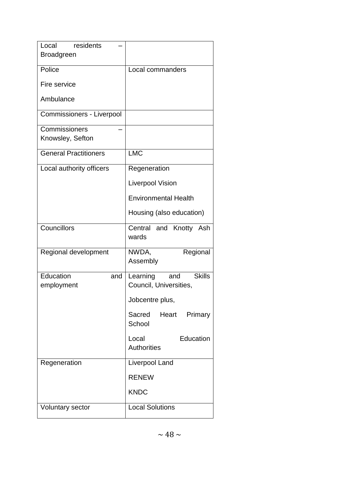| Local residents                |                                                            |
|--------------------------------|------------------------------------------------------------|
| <b>Broadgreen</b>              |                                                            |
| Police                         | Local commanders                                           |
| Fire service                   |                                                            |
| Ambulance                      |                                                            |
| Commissioners - Liverpool      |                                                            |
| Commissioners                  |                                                            |
| Knowsley, Sefton               |                                                            |
| <b>General Practitioners</b>   | <b>LMC</b>                                                 |
| Local authority officers       | Regeneration                                               |
|                                | <b>Liverpool Vision</b>                                    |
|                                | <b>Environmental Health</b>                                |
|                                | Housing (also education)                                   |
| Councillors                    | Central and Knotty Ash<br>wards                            |
| Regional development           | NWDA,<br>Regional<br>Assembly                              |
| Education<br>and<br>employment | <b>Skills</b><br>Learning<br>and<br>Council, Universities, |
|                                | Jobcentre plus,                                            |
|                                | Sacred<br>Heart<br>Primary<br>School                       |
|                                | Education<br>Local<br><b>Authorities</b>                   |
| Regeneration                   | <b>Liverpool Land</b>                                      |
|                                | <b>RENEW</b>                                               |
|                                | <b>KNDC</b>                                                |
| <b>Voluntary sector</b>        | <b>Local Solutions</b>                                     |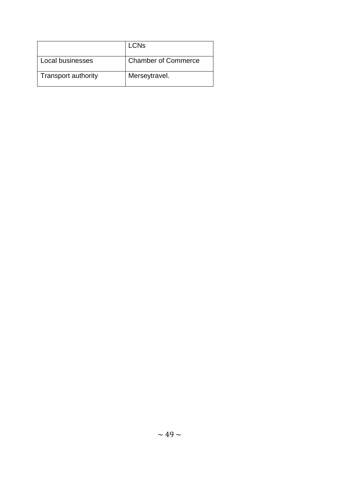|                            | <b>LCNs</b>                |
|----------------------------|----------------------------|
| Local businesses           | <b>Chamber of Commerce</b> |
| <b>Transport authority</b> | Merseytravel.              |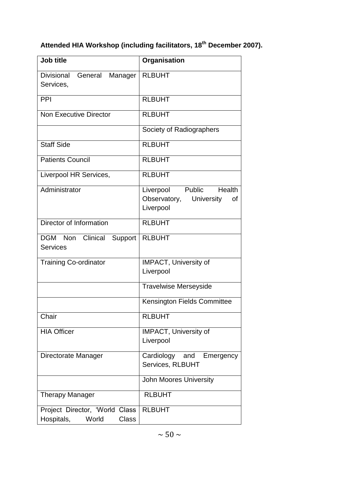# **Attended HIA Workshop (including facilitators, 18th December 2007).**

| <b>Job title</b>                                                                | Organisation                                                                |
|---------------------------------------------------------------------------------|-----------------------------------------------------------------------------|
| Divisional<br>General<br>Manager<br>Services,                                   | <b>RLBUHT</b>                                                               |
| PPI                                                                             | <b>RLBUHT</b>                                                               |
| <b>Non Executive Director</b>                                                   | <b>RLBUHT</b>                                                               |
|                                                                                 | Society of Radiographers                                                    |
| <b>Staff Side</b>                                                               | <b>RLBUHT</b>                                                               |
| <b>Patients Council</b>                                                         | <b>RLBUHT</b>                                                               |
| Liverpool HR Services,                                                          | <b>RLBUHT</b>                                                               |
| Administrator                                                                   | Public<br>Health<br>Liverpool<br>Observatory, University<br>οf<br>Liverpool |
| Director of Information                                                         | <b>RLBUHT</b>                                                               |
| Clinical Support<br><b>DGM</b><br><b>Non</b><br><b>Services</b>                 | <b>RLBUHT</b>                                                               |
| <b>Training Co-ordinator</b>                                                    | <b>IMPACT, University of</b><br>Liverpool                                   |
|                                                                                 | <b>Travelwise Merseyside</b>                                                |
|                                                                                 | <b>Kensington Fields Committee</b>                                          |
| Chair                                                                           | <b>RLBUHT</b>                                                               |
| <b>HIA Officer</b>                                                              | <b>IMPACT, University of</b><br>Liverpool                                   |
| Directorate Manager                                                             | Cardiology and Emergency<br>Services, RLBUHT                                |
|                                                                                 | <b>John Moores University</b>                                               |
| <b>Therapy Manager</b>                                                          | <b>RLBUHT</b>                                                               |
| <b>Class</b><br>Project Director, 'World<br>Hospitals,<br><b>Class</b><br>World | <b>RLBUHT</b>                                                               |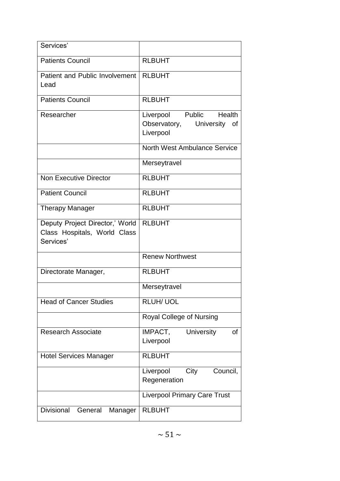| Services'                                                                    |                                                                       |
|------------------------------------------------------------------------------|-----------------------------------------------------------------------|
| <b>Patients Council</b>                                                      | <b>RLBUHT</b>                                                         |
| Patient and Public Involvement<br>Lead                                       | <b>RLBUHT</b>                                                         |
| <b>Patients Council</b>                                                      | <b>RLBUHT</b>                                                         |
| Researcher                                                                   | Public Health<br>Liverpool<br>Observatory, University of<br>Liverpool |
|                                                                              | North West Ambulance Service                                          |
|                                                                              | Merseytravel                                                          |
| <b>Non Executive Director</b>                                                | <b>RLBUHT</b>                                                         |
| <b>Patient Council</b>                                                       | <b>RLBUHT</b>                                                         |
| <b>Therapy Manager</b>                                                       | <b>RLBUHT</b>                                                         |
| Deputy Project Director,' World<br>Class Hospitals, World Class<br>Services' | <b>RLBUHT</b>                                                         |
|                                                                              | <b>Renew Northwest</b>                                                |
| Directorate Manager,                                                         | <b>RLBUHT</b>                                                         |
|                                                                              | Merseytravel                                                          |
| <b>Head of Cancer Studies</b>                                                | <b>RLUH/ UOL</b>                                                      |
|                                                                              | Royal College of Nursing                                              |
| <b>Research Associate</b>                                                    | IMPACT,<br><b>University</b><br>of<br>Liverpool                       |
| <b>Hotel Services Manager</b>                                                | <b>RLBUHT</b>                                                         |
|                                                                              | City<br>Council,<br>Liverpool<br>Regeneration                         |
|                                                                              | <b>Liverpool Primary Care Trust</b>                                   |
| <b>Divisional</b><br>General<br>Manager                                      | <b>RLBUHT</b>                                                         |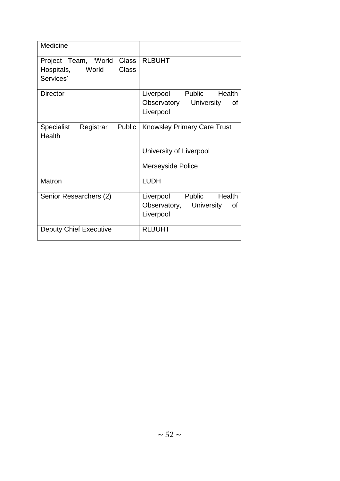| Medicine                                                                                 |                                                                       |
|------------------------------------------------------------------------------------------|-----------------------------------------------------------------------|
| Project Team, 'World<br><b>Class</b><br><b>Class</b><br>Hospitals,<br>World<br>Services' | <b>RLBUHT</b>                                                         |
| Director                                                                                 | Liverpool Public Health<br>Observatory University<br>οf<br>Liverpool  |
| <b>Specialist</b><br>Registrar<br>Public<br><b>Health</b>                                | <b>Knowsley Primary Care Trust</b>                                    |
|                                                                                          | University of Liverpool                                               |
|                                                                                          | <b>Merseyside Police</b>                                              |
| Matron                                                                                   | <b>LUDH</b>                                                           |
| Senior Researchers (2)                                                                   | Liverpool Public Health<br>Observatory, University<br>0f<br>Liverpool |
| <b>Deputy Chief Executive</b>                                                            | <b>RLBUHT</b>                                                         |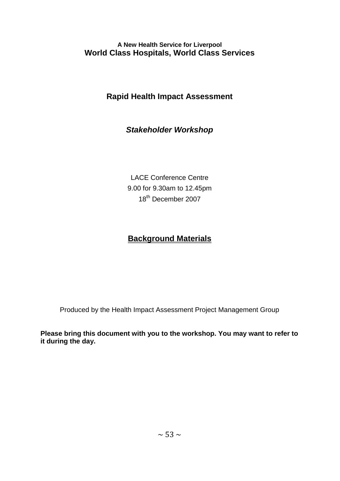### **A New Health Service for Liverpool World Class Hospitals, World Class Services**

## **Rapid Health Impact Assessment**

## *Stakeholder Workshop*

LACE Conference Centre 9.00 for 9.30am to 12.45pm 18<sup>th</sup> December 2007

## **Background Materials**

Produced by the Health Impact Assessment Project Management Group

**Please bring this document with you to the workshop. You may want to refer to it during the day.**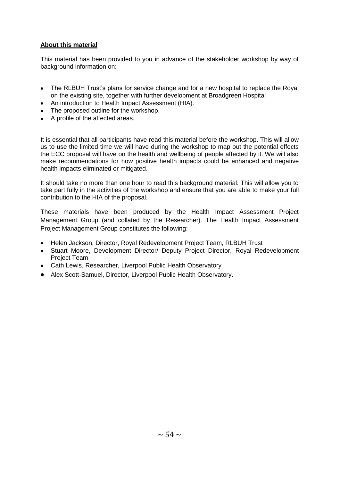#### **About this material**

This material has been provided to you in advance of the stakeholder workshop by way of background information on:

- The RLBUH Trust"s plans for service change and for a new hospital to replace the Royal on the existing site, together with further development at Broadgreen Hospital
- An introduction to Health Impact Assessment (HIA).
- The proposed outline for the workshop.
- A profile of the affected areas.

It is essential that all participants have read this material before the workshop. This will allow us to use the limited time we will have during the workshop to map out the potential effects the ECC proposal will have on the health and wellbeing of people affected by it. We will also make recommendations for how positive health impacts could be enhanced and negative health impacts eliminated or mitigated.

It should take no more than one hour to read this background material. This will allow you to take part fully in the activities of the workshop and ensure that you are able to make your full contribution to the HIA of the proposal.

These materials have been produced by the Health Impact Assessment Project Management Group (and collated by the Researcher). The Health Impact Assessment Project Management Group constitutes the following:

- Helen Jackson, Director, Royal Redevelopment Project Team, RLBUH Trust
- Stuart Moore, Development Director/ Deputy Project Director, Royal Redevelopment Project Team
- Cath Lewis, Researcher, Liverpool Public Health Observatory
- Alex Scott-Samuel, Director, Liverpool Public Health Observatory.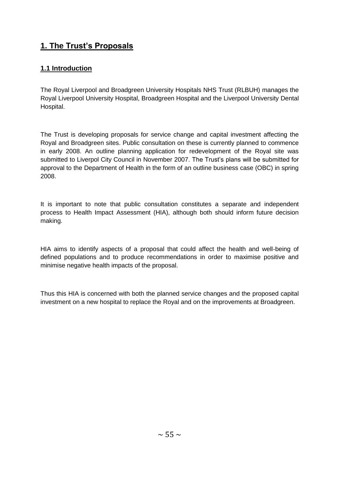## **1. The Trust's Proposals**

### **1.1 Introduction**

The Royal Liverpool and Broadgreen University Hospitals NHS Trust (RLBUH) manages the Royal Liverpool University Hospital, Broadgreen Hospital and the Liverpool University Dental Hospital.

The Trust is developing proposals for service change and capital investment affecting the Royal and Broadgreen sites. Public consultation on these is currently planned to commence in early 2008. An outline planning application for redevelopment of the Royal site was submitted to Liverpol City Council in November 2007. The Trust's plans will be submitted for approval to the Department of Health in the form of an outline business case (OBC) in spring 2008.

It is important to note that public consultation constitutes a separate and independent process to Health Impact Assessment (HIA), although both should inform future decision making.

HIA aims to identify aspects of a proposal that could affect the health and well-being of defined populations and to produce recommendations in order to maximise positive and minimise negative health impacts of the proposal.

Thus this HIA is concerned with both the planned service changes and the proposed capital investment on a new hospital to replace the Royal and on the improvements at Broadgreen.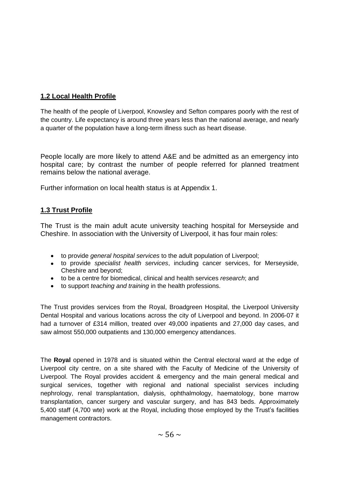### **1.2 Local Health Profile**

The health of the people of Liverpool, Knowsley and Sefton compares poorly with the rest of the country. Life expectancy is around three years less than the national average, and nearly a quarter of the population have a long-term illness such as heart disease.

People locally are more likely to attend A&E and be admitted as an emergency into hospital care; by contrast the number of people referred for planned treatment remains below the national average.

Further information on local health status is at Appendix 1.

### **1.3 Trust Profile**

The Trust is the main adult acute university teaching hospital for Merseyside and Cheshire. In association with the University of Liverpool, it has four main roles:

- to provide *general hospital services* to the adult population of Liverpool;
- to provide *specialist health services*, including cancer services, for Merseyside, Cheshire and beyond;
- to be a centre for biomedical, clinical and health services *research*; and
- to support *teaching and training* in the health professions.

The Trust provides services from the Royal, Broadgreen Hospital, the Liverpool University Dental Hospital and various locations across the city of Liverpool and beyond. In 2006-07 it had a turnover of £314 million, treated over 49,000 inpatients and 27,000 day cases, and saw almost 550,000 outpatients and 130,000 emergency attendances.

The **Royal** opened in 1978 and is situated within the Central electoral ward at the edge of Liverpool city centre, on a site shared with the Faculty of Medicine of the University of Liverpool. The Royal provides accident & emergency and the main general medical and surgical services, together with regional and national specialist services including nephrology, renal transplantation, dialysis, ophthalmology, haematology, bone marrow transplantation, cancer surgery and vascular surgery, and has 843 beds. Approximately 5,400 staff (4,700 wte) work at the Roval, including those emploved by the Trust's facilities management contractors.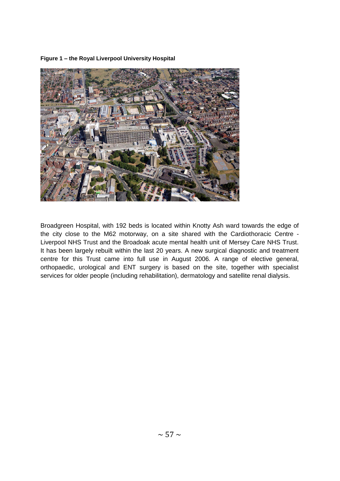**Figure 1 – the Royal Liverpool University Hospital**



Broadgreen Hospital, with 192 beds is located within Knotty Ash ward towards the edge of the city close to the M62 motorway, on a site shared with the Cardiothoracic Centre - Liverpool NHS Trust and the Broadoak acute mental health unit of Mersey Care NHS Trust. It has been largely rebuilt within the last 20 years. A new surgical diagnostic and treatment centre for this Trust came into full use in August 2006. A range of elective general, orthopaedic, urological and ENT surgery is based on the site, together with specialist services for older people (including rehabilitation), dermatology and satellite renal dialysis.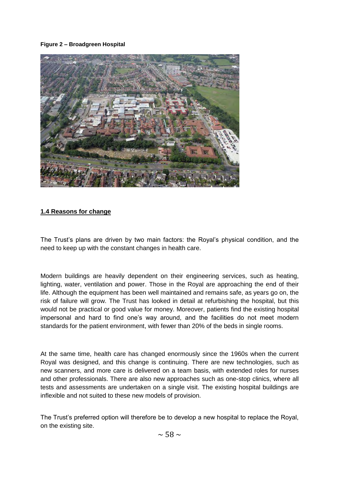#### **Figure 2 – Broadgreen Hospital**



#### **1.4 Reasons for change**

The Trust"s plans are driven by two main factors: the Royal"s physical condition, and the need to keep up with the constant changes in health care.

Modern buildings are heavily dependent on their engineering services, such as heating, lighting, water, ventilation and power. Those in the Royal are approaching the end of their life. Although the equipment has been well maintained and remains safe, as years go on, the risk of failure will grow. The Trust has looked in detail at refurbishing the hospital, but this would not be practical or good value for money. Moreover, patients find the existing hospital impersonal and hard to find one"s way around, and the facilities do not meet modern standards for the patient environment, with fewer than 20% of the beds in single rooms.

At the same time, health care has changed enormously since the 1960s when the current Royal was designed, and this change is continuing. There are new technologies, such as new scanners, and more care is delivered on a team basis, with extended roles for nurses and other professionals. There are also new approaches such as one-stop clinics, where all tests and assessments are undertaken on a single visit. The existing hospital buildings are inflexible and not suited to these new models of provision.

The Trust"s preferred option will therefore be to develop a new hospital to replace the Royal, on the existing site.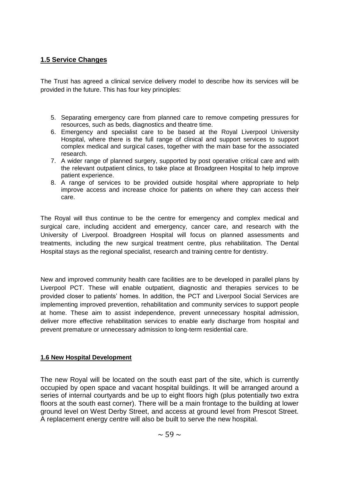### **1.5 Service Changes**

The Trust has agreed a clinical service delivery model to describe how its services will be provided in the future. This has four key principles:

- 5. Separating emergency care from planned care to remove competing pressures for resources, such as beds, diagnostics and theatre time.
- 6. Emergency and specialist care to be based at the Royal Liverpool University Hospital, where there is the full range of clinical and support services to support complex medical and surgical cases, together with the main base for the associated research.
- 7. A wider range of planned surgery, supported by post operative critical care and with the relevant outpatient clinics, to take place at Broadgreen Hospital to help improve patient experience.
- 8. A range of services to be provided outside hospital where appropriate to help improve access and increase choice for patients on where they can access their care.

The Royal will thus continue to be the centre for emergency and complex medical and surgical care, including accident and emergency, cancer care, and research with the University of Liverpool. Broadgreen Hospital will focus on planned assessments and treatments, including the new surgical treatment centre, plus rehabilitation. The Dental Hospital stays as the regional specialist, research and training centre for dentistry.

New and improved community health care facilities are to be developed in parallel plans by Liverpool PCT. These will enable outpatient, diagnostic and therapies services to be provided closer to patients" homes. In addition, the PCT and Liverpool Social Services are implementing improved prevention, rehabilitation and community services to support people at home. These aim to assist independence, prevent unnecessary hospital admission, deliver more effective rehabilitation services to enable early discharge from hospital and prevent premature or unnecessary admission to long-term residential care.

#### **1.6 New Hospital Development**

The new Royal will be located on the south east part of the site, which is currently occupied by open space and vacant hospital buildings. It will be arranged around a series of internal courtyards and be up to eight floors high (plus potentially two extra floors at the south east corner). There will be a main frontage to the building at lower ground level on West Derby Street, and access at ground level from Prescot Street. A replacement energy centre will also be built to serve the new hospital.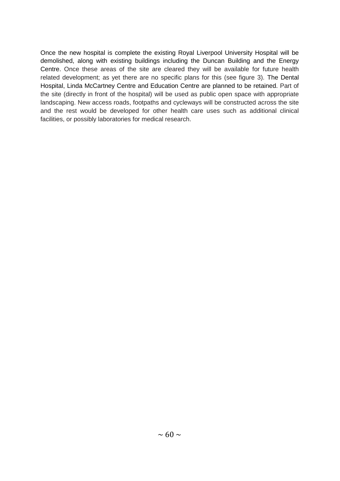Once the new hospital is complete the existing Royal Liverpool University Hospital will be demolished, along with existing buildings including the Duncan Building and the Energy Centre. Once these areas of the site are cleared they will be available for future health related development; as yet there are no specific plans for this (see figure 3). The Dental Hospital, Linda McCartney Centre and Education Centre are planned to be retained. Part of the site (directly in front of the hospital) will be used as public open space with appropriate landscaping. New access roads, footpaths and cycleways will be constructed across the site and the rest would be developed for other health care uses such as additional clinical facilities, or possibly laboratories for medical research.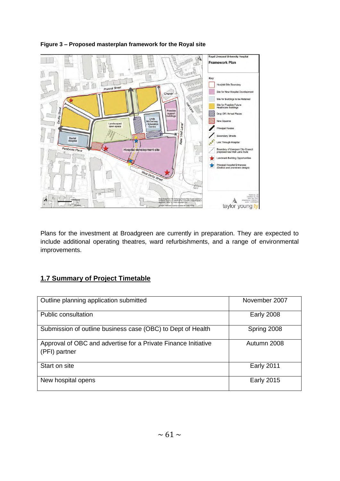

### **Figure 3 – Proposed masterplan framework for the Royal site**

Plans for the investment at Broadgreen are currently in preparation. They are expected to include additional operating theatres, ward refurbishments, and a range of environmental improvements.

### **1.7 Summary of Project Timetable**

| Outline planning application submitted                                          | November 2007     |
|---------------------------------------------------------------------------------|-------------------|
| Public consultation                                                             | <b>Early 2008</b> |
| Submission of outline business case (OBC) to Dept of Health                     | Spring 2008       |
| Approval of OBC and advertise for a Private Finance Initiative<br>(PFI) partner | Autumn 2008       |
| Start on site                                                                   | <b>Early 2011</b> |
| New hospital opens                                                              | <b>Early 2015</b> |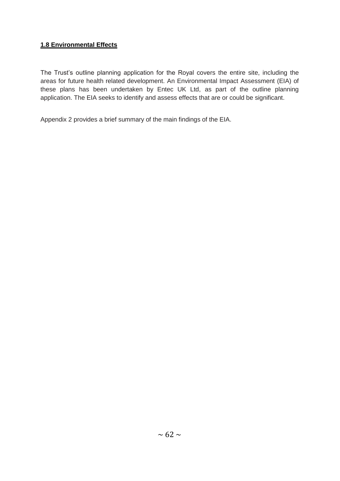### **1.8 Environmental Effects**

The Trust"s outline planning application for the Royal covers the entire site, including the areas for future health related development. An Environmental Impact Assessment (EIA) of these plans has been undertaken by Entec UK Ltd, as part of the outline planning application. The EIA seeks to identify and assess effects that are or could be significant.

Appendix 2 provides a brief summary of the main findings of the EIA.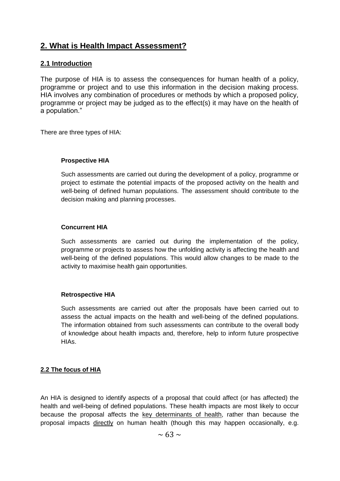### **2. What is Health Impact Assessment?**

### **2.1 Introduction**

The purpose of HIA is to assess the consequences for human health of a policy, programme or project and to use this information in the decision making process. HIA involves any combination of procedures or methods by which a proposed policy, programme or project may be judged as to the effect(s) it may have on the health of a population."

There are three types of HIA:

#### **Prospective HIA**

Such assessments are carried out during the development of a policy, programme or project to estimate the potential impacts of the proposed activity on the health and well-being of defined human populations. The assessment should contribute to the decision making and planning processes.

#### **Concurrent HIA**

Such assessments are carried out during the implementation of the policy, programme or projects to assess how the unfolding activity is affecting the health and well-being of the defined populations. This would allow changes to be made to the activity to maximise health gain opportunities.

#### **Retrospective HIA**

Such assessments are carried out after the proposals have been carried out to assess the actual impacts on the health and well-being of the defined populations. The information obtained from such assessments can contribute to the overall body of knowledge about health impacts and, therefore, help to inform future prospective HIAs.

#### **2.2 The focus of HIA**

An HIA is designed to identify aspects of a proposal that could affect (or has affected) the health and well-being of defined populations. These health impacts are most likely to occur because the proposal affects the key determinants of health, rather than because the proposal impacts directly on human health (though this may happen occasionally, e.g.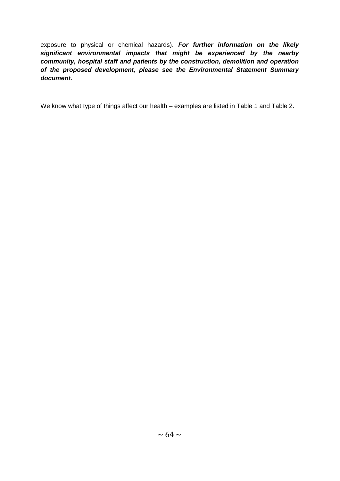exposure to physical or chemical hazards). *For further information on the likely significant environmental impacts that might be experienced by the nearby community, hospital staff and patients by the construction, demolition and operation of the proposed development, please see the Environmental Statement Summary document.*

We know what type of things affect our health – examples are listed in Table 1 and Table 2.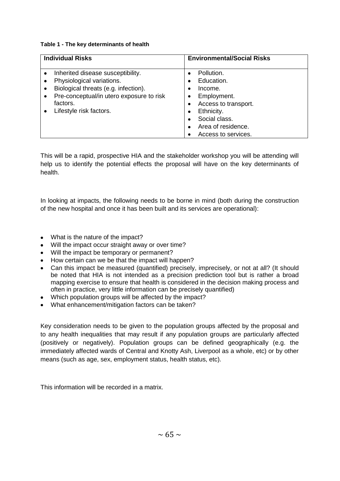#### **Table 1 - The key determinants of health**

| <b>Individual Risks</b> |                                                                                                                                                                                           | <b>Environmental/Social Risks</b>                                                                                                                                        |  |
|-------------------------|-------------------------------------------------------------------------------------------------------------------------------------------------------------------------------------------|--------------------------------------------------------------------------------------------------------------------------------------------------------------------------|--|
| $\bullet$<br>٠          | Inherited disease susceptibility.<br>Physiological variations.<br>Biological threats (e.g. infection).<br>Pre-conceptual/in utero exposure to risk<br>factors.<br>Lifestyle risk factors. | Pollution.<br>$\bullet$<br>Education.<br>Income.<br>٠<br>Employment.<br>٠<br>Access to transport.<br>٠<br>Ethnicity.<br>$\bullet$<br>Social class.<br>Area of residence. |  |
|                         |                                                                                                                                                                                           | Access to services.                                                                                                                                                      |  |

This will be a rapid, prospective HIA and the stakeholder workshop you will be attending will help us to identify the potential effects the proposal will have on the key determinants of health.

In looking at impacts, the following needs to be borne in mind (both during the construction of the new hospital and once it has been built and its services are operational):

- What is the nature of the impact?
- Will the impact occur straight away or over time?
- Will the impact be temporary or permanent?
- How certain can we be that the impact will happen?
- Can this impact be measured (quantified) precisely, imprecisely, or not at all? (It should be noted that HIA is not intended as a precision prediction tool but is rather a broad mapping exercise to ensure that health is considered in the decision making process and often in practice, very little information can be precisely quantified)
- Which population groups will be affected by the impact?
- What enhancement/mitigation factors can be taken?

Key consideration needs to be given to the population groups affected by the proposal and to any health inequalities that may result if any population groups are particularly affected (positively or negatively). Population groups can be defined geographically (e.g. the immediately affected wards of Central and Knotty Ash, Liverpool as a whole, etc) or by other means (such as age, sex, employment status, health status, etc).

This information will be recorded in a matrix.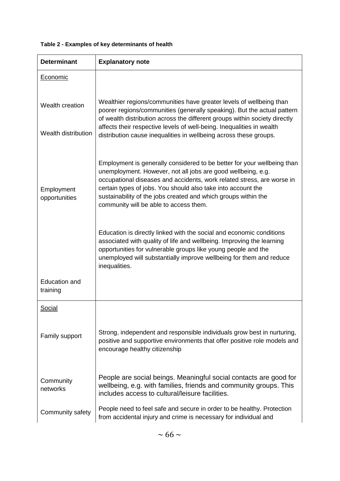| <b>Determinant</b>                     | <b>Explanatory note</b>                                                                                                                                                                                                                                                                                                                                                                       |  |  |  |
|----------------------------------------|-----------------------------------------------------------------------------------------------------------------------------------------------------------------------------------------------------------------------------------------------------------------------------------------------------------------------------------------------------------------------------------------------|--|--|--|
| Economic                               |                                                                                                                                                                                                                                                                                                                                                                                               |  |  |  |
| Wealth creation<br>Wealth distribution | Wealthier regions/communities have greater levels of wellbeing than<br>poorer regions/communities (generally speaking). But the actual pattern<br>of wealth distribution across the different groups within society directly<br>affects their respective levels of well-being. Inequalities in wealth<br>distribution cause inequalities in wellbeing across these groups.                    |  |  |  |
| Employment<br>opportunities            | Employment is generally considered to be better for your wellbeing than<br>unemployment. However, not all jobs are good wellbeing, e.g.<br>occupational diseases and accidents, work related stress, are worse in<br>certain types of jobs. You should also take into account the<br>sustainability of the jobs created and which groups within the<br>community will be able to access them. |  |  |  |
|                                        | Education is directly linked with the social and economic conditions<br>associated with quality of life and wellbeing. Improving the learning<br>opportunities for vulnerable groups like young people and the<br>unemployed will substantially improve wellbeing for them and reduce<br>inequalities.                                                                                        |  |  |  |
| <b>Education and</b><br>training       |                                                                                                                                                                                                                                                                                                                                                                                               |  |  |  |
| <b>Social</b>                          |                                                                                                                                                                                                                                                                                                                                                                                               |  |  |  |
| Family support                         | Strong, independent and responsible individuals grow best in nurturing,<br>positive and supportive environments that offer positive role models and<br>encourage healthy citizenship                                                                                                                                                                                                          |  |  |  |
| Community<br>networks                  | People are social beings. Meaningful social contacts are good for<br>wellbeing, e.g. with families, friends and community groups. This<br>includes access to cultural/leisure facilities.                                                                                                                                                                                                     |  |  |  |
| Community safety                       | People need to feel safe and secure in order to be healthy. Protection<br>from accidental injury and crime is necessary for individual and                                                                                                                                                                                                                                                    |  |  |  |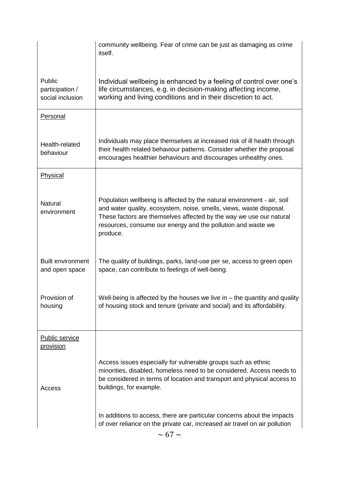|                                               | community wellbeing. Fear of crime can be just as damaging as crime<br>itself.                                                                                                                                                                                                                    |  |  |  |  |
|-----------------------------------------------|---------------------------------------------------------------------------------------------------------------------------------------------------------------------------------------------------------------------------------------------------------------------------------------------------|--|--|--|--|
| Public<br>participation /<br>social inclusion | Individual wellbeing is enhanced by a feeling of control over one's<br>life circumstances, e.g. in decision-making affecting income,<br>working and living conditions and in their discretion to act.                                                                                             |  |  |  |  |
| Personal                                      |                                                                                                                                                                                                                                                                                                   |  |  |  |  |
| Health-related<br>behaviour                   | Individuals may place themselves at increased risk of ill health through<br>their health related behaviour patterns. Consider whether the proposal<br>encourages healthier behaviours and discourages unhealthy ones.                                                                             |  |  |  |  |
| Physical                                      |                                                                                                                                                                                                                                                                                                   |  |  |  |  |
| <b>Natural</b><br>environment                 | Population wellbeing is affected by the natural environment - air, soil<br>and water quality, ecosystem, noise, smells, views, waste disposal.<br>These factors are themselves affected by the way we use our natural<br>resources, consume our energy and the pollution and waste we<br>produce. |  |  |  |  |
| <b>Built environment</b><br>and open space    | The quality of buildings, parks, land-use per se, access to green open<br>space, can contribute to feelings of well-being.                                                                                                                                                                        |  |  |  |  |
| Provision of<br>housing                       | Well-being is affected by the houses we live in $-$ the quantity and quality<br>of housing stock and tenure (private and social) and its affordability.                                                                                                                                           |  |  |  |  |
| <b>Public service</b><br><u>provision</u>     |                                                                                                                                                                                                                                                                                                   |  |  |  |  |
| Access                                        | Access issues especially for vulnerable groups such as ethnic<br>minorities, disabled, homeless need to be considered. Access needs to<br>be considered in terms of location and transport and physical access to<br>buildings, for example.                                                      |  |  |  |  |
|                                               | In additions to access, there are particular concerns about the impacts<br>of over reliance on the private car, increased air travel on air pollution                                                                                                                                             |  |  |  |  |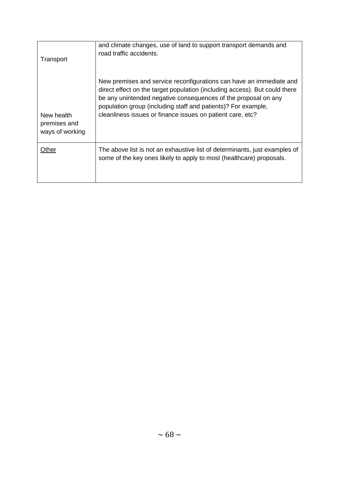| Transport                                     | and climate changes, use of land to support transport demands and<br>road traffic accidents.                                                                                                                                                                                                                                                       |  |  |  |  |
|-----------------------------------------------|----------------------------------------------------------------------------------------------------------------------------------------------------------------------------------------------------------------------------------------------------------------------------------------------------------------------------------------------------|--|--|--|--|
| New health<br>premises and<br>ways of working | New premises and service reconfigurations can have an immediate and<br>direct effect on the target population (including access). But could there<br>be any unintended negative consequences of the proposal on any<br>population group (including staff and patients)? For example,<br>cleanliness issues or finance issues on patient care, etc? |  |  |  |  |
| Other                                         | The above list is not an exhaustive list of determinants, just examples of<br>some of the key ones likely to apply to most (healthcare) proposals.                                                                                                                                                                                                 |  |  |  |  |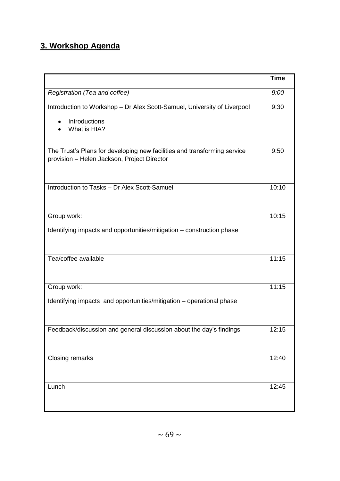## **3. Workshop Agenda**

|                                                                                                                         | <b>Time</b> |  |
|-------------------------------------------------------------------------------------------------------------------------|-------------|--|
| Registration (Tea and coffee)                                                                                           |             |  |
| Introduction to Workshop - Dr Alex Scott-Samuel, University of Liverpool                                                |             |  |
| Introductions<br>$\bullet$<br>What is HIA?                                                                              |             |  |
| The Trust's Plans for developing new facilities and transforming service<br>provision - Helen Jackson, Project Director | 9:50        |  |
| Introduction to Tasks - Dr Alex Scott-Samuel                                                                            | 10:10       |  |
| Group work:                                                                                                             | 10:15       |  |
| Identifying impacts and opportunities/mitigation - construction phase                                                   |             |  |
| Tea/coffee available                                                                                                    | 11:15       |  |
| Group work:                                                                                                             | 11:15       |  |
| Identifying impacts and opportunities/mitigation – operational phase                                                    |             |  |
| Feedback/discussion and general discussion about the day's findings                                                     | 12:15       |  |
| Closing remarks                                                                                                         | 12:40       |  |
| Lunch                                                                                                                   | 12:45       |  |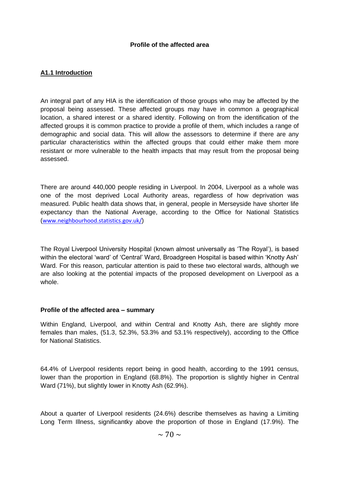### **A1.1 Introduction**

An integral part of any HIA is the identification of those groups who may be affected by the proposal being assessed. These affected groups may have in common a geographical location, a shared interest or a shared identity. Following on from the identification of the affected groups it is common practice to provide a profile of them, which includes a range of demographic and social data. This will allow the assessors to determine if there are any particular characteristics within the affected groups that could either make them more resistant or more vulnerable to the health impacts that may result from the proposal being assessed.

There are around 440,000 people residing in Liverpool. In 2004, Liverpool as a whole was one of the most deprived Local Authority areas, regardless of how deprivation was measured. Public health data shows that, in general, people in Merseyside have shorter life expectancy than the National Average, according to the Office for National Statistics ([www.neighbourhood.statistics.gov.uk/](http://www.neighbourhood.statistics.gov.uk/))

The Royal Liverpool University Hospital (known almost universally as "The Royal"), is based within the electoral "ward" of "Central" Ward, Broadgreen Hospital is based within "Knotty Ash" Ward. For this reason, particular attention is paid to these two electoral wards, although we are also looking at the potential impacts of the proposed development on Liverpool as a whole.

#### **Profile of the affected area – summary**

Within England, Liverpool, and within Central and Knotty Ash, there are slightly more females than males, (51.3, 52.3%, 53.3% and 53.1% respectively), according to the Office for National Statistics.

64.4% of Liverpool residents report being in good health, according to the 1991 census, lower than the proportion in England (68.8%). The proportion is slightly higher in Central Ward (71%), but slightly lower in Knotty Ash (62.9%).

About a quarter of Liverpool residents (24.6%) describe themselves as having a Limiting Long Term Illness, significantky above the proportion of those in England (17.9%). The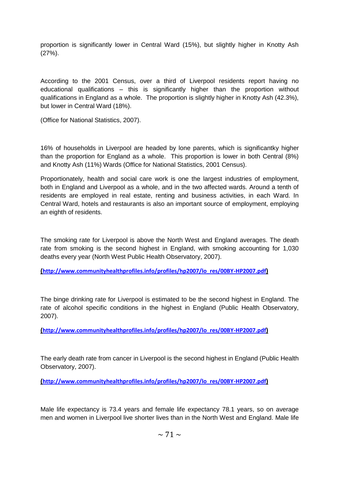proportion is significantly lower in Central Ward (15%), but slightly higher in Knotty Ash (27%).

According to the 2001 Census, over a third of Liverpool residents report having no educational qualifications – this is significantly higher than the proportion without qualifications in England as a whole. The proportion is slightly higher in Knotty Ash (42.3%), but lower in Central Ward (18%).

(Office for National Statistics, 2007).

16% of households in Liverpool are headed by lone parents, which is significantky higher than the proportion for England as a whole. This proportion is lower in both Central (8%) and Knotty Ash (11%) Wards (Office for National Statistics, 2001 Census).

Proportionately, health and social care work is one the largest industries of employment, both in England and Liverpool as a whole, and in the two affected wards. Around a tenth of residents are employed in real estate, renting and business activities, in each Ward. In Central Ward, hotels and restaurants is also an important source of employment, employing an eighth of residents.

The smoking rate for Liverpool is above the North West and England averages. The death rate from smoking is the second highest in England, with smoking accounting for 1,030 deaths every year (North West Public Health Observatory, 2007).

**([http://www.communityhealthprofiles.info/profiles/hp2007/lo\\_res/00BY-HP2007.pdf](http://www.communityhealthprofiles.info/profiles/hp2007/lo_res/00BY-HP2007.pdf))**

The binge drinking rate for Liverpool is estimated to be the second highest in England. The rate of alcohol specific conditions in the highest in England (Public Health Observatory, 2007).

**([http://www.communityhealthprofiles.info/profiles/hp2007/lo\\_res/00BY-HP2007.pdf](http://www.communityhealthprofiles.info/profiles/hp2007/lo_res/00BY-HP2007.pdf))**

The early death rate from cancer in Liverpool is the second highest in England (Public Health Observatory, 2007).

**([http://www.communityhealthprofiles.info/profiles/hp2007/lo\\_res/00BY-HP2007.pdf](http://www.communityhealthprofiles.info/profiles/hp2007/lo_res/00BY-HP2007.pdf))**

Male life expectancy is 73.4 years and female life expectancy 78.1 years, so on average men and women in Liverpool live shorter lives than in the North West and England. Male life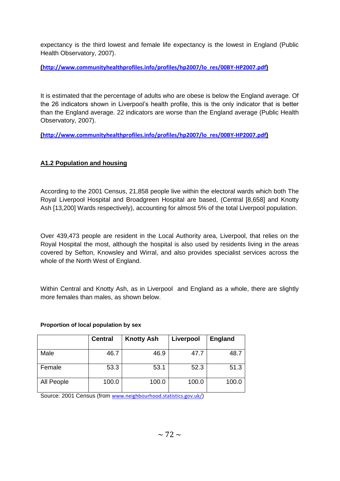expectancy is the third lowest and female life expectancy is the lowest in England (Public Health Observatory, 2007).

**([http://www.communityhealthprofiles.info/profiles/hp2007/lo\\_res/00BY-HP2007.pdf](http://www.communityhealthprofiles.info/profiles/hp2007/lo_res/00BY-HP2007.pdf))**

It is estimated that the percentage of adults who are obese is below the England average. Of the 26 indicators shown in Liverpool"s health profile, this is the only indicator that is better than the England average. 22 indicators are worse than the England average (Public Health Observatory, 2007).

**([http://www.communityhealthprofiles.info/profiles/hp2007/lo\\_res/00BY-HP2007.pdf](http://www.communityhealthprofiles.info/profiles/hp2007/lo_res/00BY-HP2007.pdf))**

### **A1.2 Population and housing**

According to the 2001 Census, 21,858 people live within the electoral wards which both The Royal Liverpool Hospital and Broadgreen Hospital are based, (Central [8,658] and Knotty Ash [13,200] Wards respectively), accounting for almost 5% of the total Liverpool population.

Over 439,473 people are resident in the Local Authority area, Liverpool, that relies on the Royal Hospital the most, although the hospital is also used by residents living in the areas covered by Sefton, Knowsley and Wirral, and also provides specialist services across the whole of the North West of England.

Within Central and Knotty Ash, as in Liverpool and England as a whole, there are slightly more females than males, as shown below.

#### **Proportion of local population by sex**

|            | <b>Central</b> | <b>Knotty Ash</b> | Liverpool | <b>England</b> |
|------------|----------------|-------------------|-----------|----------------|
| Male       | 46.7           | 46.9              | 47.7      | 48.7           |
| Female     | 53.3           | 53.1              | 52.3      | 51.3           |
| All People | 100.0          | 100.0             | 100.0     | 100.0          |

Source: 2001 Census (from [www.neighbourhood.statistics.gov.uk/](http://www.neighbourhood.statistics.gov.uk/))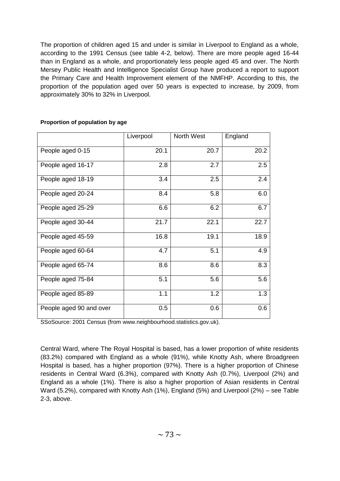The proportion of children aged 15 and under is similar in Liverpool to England as a whole, according to the 1991 Census (see table 4-2, below). There are more people aged 16-44 than in England as a whole, and proportionately less people aged 45 and over. The North Mersey Public Health and Intelligence Specialist Group have produced a report to support the Primary Care and Health Improvement element of the NMFHP. According to this, the proportion of the population aged over 50 years is expected to increase, by 2009, from approximately 30% to 32% in Liverpool.

|                         | Liverpool | North West | England |
|-------------------------|-----------|------------|---------|
| People aged 0-15        | 20.1      | 20.7       | 20.2    |
| People aged 16-17       | 2.8       | 2.7        | 2.5     |
| People aged 18-19       | 3.4       | 2.5        | 2.4     |
| People aged 20-24       | 8.4       | 5.8        | 6.0     |
| People aged 25-29       | 6.6       | 6.2        | 6.7     |
| People aged 30-44       | 21.7      | 22.1       | 22.7    |
| People aged 45-59       | 16.8      | 19.1       | 18.9    |
| People aged 60-64       | 4.7       | 5.1        | 4.9     |
| People aged 65-74       | 8.6       | 8.6        | 8.3     |
| People aged 75-84       | 5.1       | 5.6        | 5.6     |
| People aged 85-89       | 1.1       | 1.2        | 1.3     |
| People aged 90 and over | 0.5       | 0.6        | 0.6     |

### **Proportion of population by age**

SSoSource: 2001 Census (from www.neighbourhood.statistics.gov.uk).

Central Ward, where The Royal Hospital is based, has a lower proportion of white residents (83.2%) compared with England as a whole (91%), while Knotty Ash, where Broadgreen Hospital is based, has a higher proportion (97%). There is a higher proportion of Chinese residents in Central Ward (6.3%), compared with Knotty Ash (0.7%), Liverpool (2%) and England as a whole (1%). There is also a higher proportion of Asian residents in Central Ward (5.2%), compared with Knotty Ash (1%), England (5%) and Liverpool (2%) – see Table 2-3, above.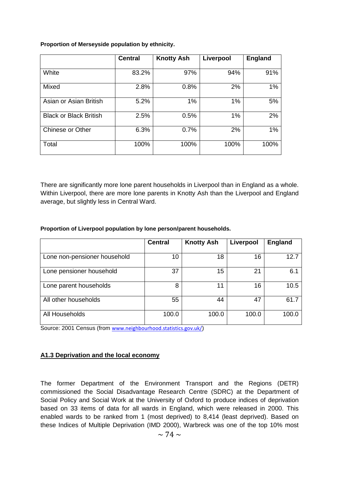**Proportion of Merseyside population by ethnicity.**

|                               | <b>Central</b> | <b>Knotty Ash</b> | Liverpool | <b>England</b> |
|-------------------------------|----------------|-------------------|-----------|----------------|
| White                         | 83.2%          | 97%               | 94%       | 91%            |
| Mixed                         | 2.8%           | 0.8%              | 2%        | 1%             |
| Asian or Asian British        | 5.2%           | $1\%$             | $1\%$     | 5%             |
| <b>Black or Black British</b> | 2.5%           | 0.5%              | $1\%$     | 2%             |
| Chinese or Other              | 6.3%           | 0.7%              | 2%        | 1%             |
| Total                         | 100%           | 100%              | 100%      | 100%           |

There are significantly more lone parent households in Liverpool than in England as a whole. Within Liverpool, there are more lone parents in Knotty Ash than the Liverpool and England average, but slightly less in Central Ward.

# **Proportion of Liverpool population by lone person/parent households.**

|                              | <b>Central</b> | <b>Knotty Ash</b> | Liverpool | <b>England</b> |
|------------------------------|----------------|-------------------|-----------|----------------|
|                              |                |                   |           |                |
| Lone non-pensioner household | 10             | 18                | 16        | 12.7           |
| Lone pensioner household     | 37             | 15                | 21        | 6.1            |
| Lone parent households       | 8              | 11                | 16        | 10.5           |
| All other households         | 55             | 44                | 47        | 61.7           |
| All Households               | 100.0          | 100.0             | 100.0     | 100.0          |

Source: 2001 Census (from [www.neighbourhood.statistics.gov.uk/](http://www.neighbourhood.statistics.gov.uk/))

# **A1.3 Deprivation and the local economy**

The former Department of the Environment Transport and the Regions (DETR) commissioned the Social Disadvantage Research Centre (SDRC) at the Department of Social Policy and Social Work at the University of Oxford to produce indices of deprivation based on 33 items of data for all wards in England, which were released in 2000. This enabled wards to be ranked from 1 (most deprived) to 8,414 (least deprived). Based on these Indices of Multiple Deprivation (IMD 2000), Warbreck was one of the top 10% most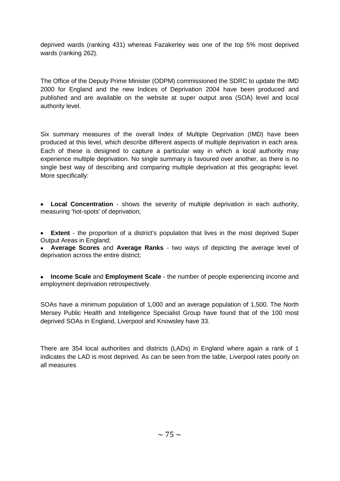deprived wards (ranking 431) whereas Fazakerley was one of the top 5% most deprived wards (ranking 262).

The Office of the Deputy Prime Minister (ODPM) commissioned the SDRC to update the IMD 2000 for England and the new Indices of Deprivation 2004 have been produced and published and are available on the website at super output area (SOA) level and local authority level.

Six summary measures of the overall Index of Multiple Deprivation (IMD) have been produced at this level, which describe different aspects of multiple deprivation in each area. Each of these is designed to capture a particular way in which a local authority may experience multiple deprivation. No single summary is favoured over another, as there is no single best way of describing and comparing multiple deprivation at this geographic level. More specifically:

**Local Concentration** - shows the severity of multiple deprivation in each authority, measuring 'hot-spots' of deprivation;

**Extent** - the proportion of a district's population that lives in the most deprived Super  $\bullet$ Output Areas in England;

**Average Scores** and **Average Ranks** - two ways of depicting the average level of deprivation across the entire district;

**Income Scale** and **Employment Scale** - the number of people experiencing income and employment deprivation retrospectively.

SOAs have a minimum population of 1,000 and an average population of 1,500. The North Mersey Public Health and Intelligence Specialist Group have found that of the 100 most deprived SOAs in England, Liverpool and Knowsley have 33.

There are 354 local authorities and districts (LADs) in England where again a rank of 1 indicates the LAD is most deprived. As can be seen from the table, Liverpool rates poorly on all measures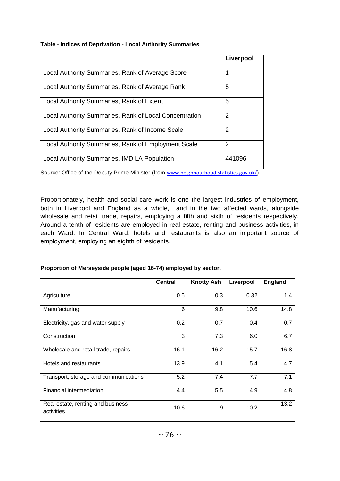#### **Table - Indices of Deprivation - Local Authority Summaries**

|                                                        | Liverpool |
|--------------------------------------------------------|-----------|
| Local Authority Summaries, Rank of Average Score       | 1         |
| Local Authority Summaries, Rank of Average Rank        | 5         |
| Local Authority Summaries, Rank of Extent              | 5         |
| Local Authority Summaries, Rank of Local Concentration | 2         |
| Local Authority Summaries, Rank of Income Scale        | 2         |
| Local Authority Summaries, Rank of Employment Scale    | 2         |
| Local Authority Summaries, IMD LA Population           | 441096    |

Source: Office of the Deputy Prime Minister (from [www.neighbourhood.statistics.gov.uk/](http://www.neighbourhood.statistics.gov.uk/))

Proportionately, health and social care work is one the largest industries of employment, both in Liverpool and England as a whole, and in the two affected wards, alongside wholesale and retail trade, repairs, employing a fifth and sixth of residents respectively. Around a tenth of residents are employed in real estate, renting and business activities, in each Ward. In Central Ward, hotels and restaurants is also an important source of employment, employing an eighth of residents.

|                                                 | <b>Central</b> | <b>Knotty Ash</b> | Liverpool | <b>England</b> |
|-------------------------------------------------|----------------|-------------------|-----------|----------------|
| Agriculture                                     | 0.5            | 0.3               | 0.32      | 1.4            |
| Manufacturing                                   | 6              | 9.8               | 10.6      | 14.8           |
| Electricity, gas and water supply               | 0.2            | 0.7               | 0.4       | 0.7            |
| Construction                                    | 3              | 7.3               | 6.0       | 6.7            |
| Wholesale and retail trade, repairs             | 16.1           | 16.2              | 15.7      | 16.8           |
| Hotels and restaurants                          | 13.9           | 4.1               | 5.4       | 4.7            |
| Transport, storage and communications           | 5.2            | 7.4               | 7.7       | 7.1            |
| Financial intermediation                        | 4.4            | 5.5               | 4.9       | 4.8            |
| Real estate, renting and business<br>activities | 10.6           | 9                 | 10.2      | 13.2           |

#### **Proportion of Merseyside people (aged 16-74) employed by sector.**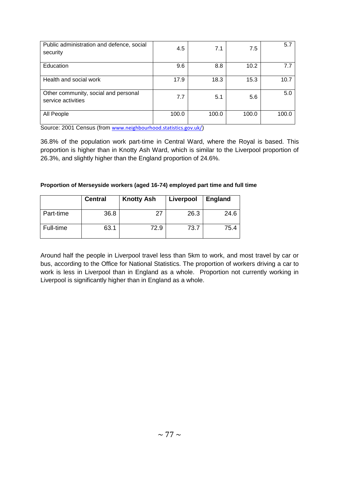| Public administration and defence, social<br>security      | 4.5   | 7.1   | 7.5   | 5.7   |
|------------------------------------------------------------|-------|-------|-------|-------|
| Education                                                  | 9.6   | 8.8   | 10.2  | 7.7   |
| Health and social work                                     | 17.9  | 18.3  | 15.3  | 10.7  |
| Other community, social and personal<br>service activities | 7.7   | 5.1   | 5.6   | 5.0   |
| All People                                                 | 100.0 | 100.0 | 100.0 | 100.0 |

Source: 2001 Census (from [www.neighbourhood.statistics.gov.uk/](http://www.neighbourhood.statistics.gov.uk/))

36.8% of the population work part-time in Central Ward, where the Royal is based. This proportion is higher than in Knotty Ash Ward, which is similar to the Liverpool proportion of 26.3%, and slightly higher than the England proportion of 24.6%.

| Proportion of Merseyside workers (aged 16-74) employed part time and full time |  |  |  |  |  |
|--------------------------------------------------------------------------------|--|--|--|--|--|
|                                                                                |  |  |  |  |  |

|           | <b>Central</b> | <b>Knotty Ash</b> | Liverpool | <b>England</b> |
|-----------|----------------|-------------------|-----------|----------------|
| Part-time | 36.8           | -27               | 26.3      | 24.6           |
| Full-time | 63.1           | 72.9              | 73.7      | 75.4           |

Around half the people in Liverpool travel less than 5km to work, and most travel by car or bus, according to the Office for National Statistics. The proportion of workers driving a car to work is less in Liverpool than in England as a whole. Proportion not currently working in Liverpool is significantly higher than in England as a whole.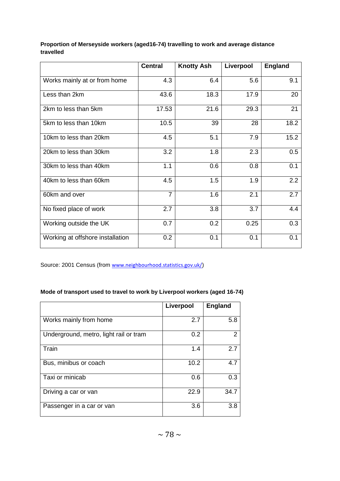|                                  | <b>Central</b> | <b>Knotty Ash</b> | Liverpool | <b>England</b> |
|----------------------------------|----------------|-------------------|-----------|----------------|
| Works mainly at or from home     | 4.3            | 6.4               | 5.6       | 9.1            |
| Less than 2km                    | 43.6           | 18.3              | 17.9      | 20             |
| 2km to less than 5km             | 17.53          | 21.6              | 29.3      | 21             |
| 5km to less than 10km            | 10.5           | 39                | 28        | 18.2           |
| 10km to less than 20km           | 4.5            | 5.1               | 7.9       | 15.2           |
| 20km to less than 30km           | 3.2            | 1.8               | 2.3       | 0.5            |
| 30km to less than 40km           | 1.1            | 0.6               | 0.8       | 0.1            |
| 40km to less than 60km           | 4.5            | 1.5               | 1.9       | 2.2            |
| 60km and over                    | $\overline{7}$ | 1.6               | 2.1       | 2.7            |
| No fixed place of work           | 2.7            | 3.8               | 3.7       | 4.4            |
| Working outside the UK           | 0.7            | 0.2               | 0.25      | 0.3            |
| Working at offshore installation | 0.2            | 0.1               | 0.1       | 0.1            |

#### **Proportion of Merseyside workers (aged16-74) travelling to work and average distance travelled**

Source: 2001 Census (from [www.neighbourhood.statistics.gov.uk/](http://www.neighbourhood.statistics.gov.uk/))

# **Mode of transport used to travel to work by Liverpool workers (aged 16-74)**

|                                        | Liverpool | <b>England</b> |
|----------------------------------------|-----------|----------------|
| Works mainly from home                 | 2.7       | 5.8            |
| Underground, metro, light rail or tram | 0.2       | 2              |
| Train                                  | 1.4       | 2.7            |
| Bus, minibus or coach                  | 10.2      | 4.7            |
| Taxi or minicab                        | 0.6       | 0.3            |
| Driving a car or van                   | 22.9      | 34.7           |
| Passenger in a car or van              | 3.6       | 3.8            |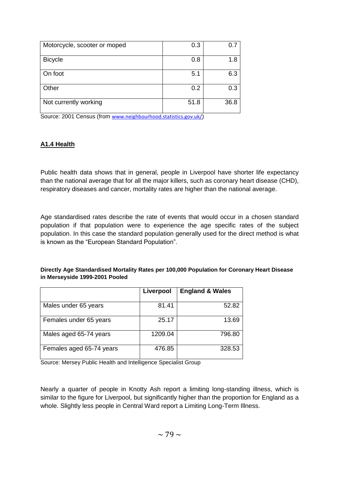| Motorcycle, scooter or moped | 0.3  | 0.7  |
|------------------------------|------|------|
| <b>Bicycle</b>               | 0.8  | 1.8  |
| On foot                      | 5.1  | 6.3  |
| Other                        | 0.2  | 0.3  |
| Not currently working        | 51.8 | 36.8 |

Source: 2001 Census (from [www.neighbourhood.statistics.gov.uk/](http://www.neighbourhood.statistics.gov.uk/))

# **A1.4 Health**

Public health data shows that in general, people in Liverpool have shorter life expectancy than the national average that for all the major killers, such as coronary heart disease (CHD), respiratory diseases and cancer, mortality rates are higher than the national average.

Age standardised rates describe the rate of events that would occur in a chosen standard population if that population were to experience the age specific rates of the subject population. In this case the standard population generally used for the direct method is what is known as the "European Standard Population".

#### **Directly Age Standardised Mortality Rates per 100,000 Population for Coronary Heart Disease in Merseyside 1999-2001 Pooled**

|                          | Liverpool | <b>England &amp; Wales</b> |
|--------------------------|-----------|----------------------------|
| Males under 65 years     | 81.41     | 52.82                      |
| Females under 65 years   | 25.17     | 13.69                      |
| Males aged 65-74 years   | 1209.04   | 796.80                     |
| Females aged 65-74 years | 476.85    | 328.53                     |

Source: Mersey Public Health and Intelligence Specialist Group

Nearly a quarter of people in Knotty Ash report a limiting long-standing illness, which is similar to the figure for Liverpool, but significantly higher than the proportion for England as a whole. Slightly less people in Central Ward report a Limiting Long-Term Illness.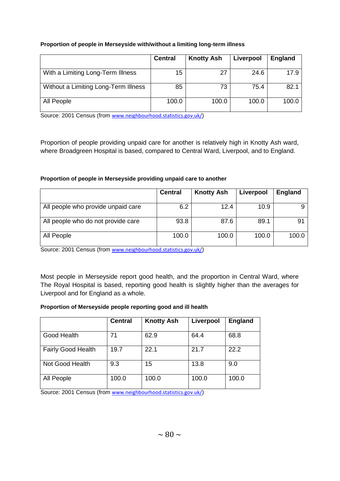# **Proportion of people in Merseyside with/without a limiting long-term illness**

|                                      | <b>Central</b> | <b>Knotty Ash</b> | Liverpool | England |
|--------------------------------------|----------------|-------------------|-----------|---------|
| With a Limiting Long-Term Illness    | 15             | 27                | 24.6      | 17.9    |
| Without a Limiting Long-Term Illness | 85             | 73                | 75.4      | 82.1    |
| All People                           | 100.0          | 100.0             | 100.0     | 100.0   |

Source: 2001 Census (from [www.neighbourhood.statistics.gov.uk/](http://www.neighbourhood.statistics.gov.uk/))

Proportion of people providing unpaid care for another is relatively high in Knotty Ash ward, where Broadgreen Hospital is based, compared to Central Ward, Liverpool, and to England.

# **Proportion of people in Merseyside providing unpaid care to another**

|                                    | <b>Central</b> | <b>Knotty Ash</b> | Liverpool | <b>England</b> |
|------------------------------------|----------------|-------------------|-----------|----------------|
| All people who provide unpaid care | 6.2            | 12.4              | 10.9      |                |
| All people who do not provide care | 93.8           | 87.6              | 89.1      |                |
| All People                         | 100.0          | 100.0             | 100.0     | 100.0          |

Source: 2001 Census (from [www.neighbourhood.statistics.gov.uk/](http://www.neighbourhood.statistics.gov.uk/))

Most people in Merseyside report good health, and the proportion in Central Ward, where The Royal Hospital is based, reporting good health is slightly higher than the averages for Liverpool and for England as a whole.

# **Proportion of Merseyside people reporting good and ill health**

|                           | <b>Central</b> | <b>Knotty Ash</b> | Liverpool | <b>England</b> |
|---------------------------|----------------|-------------------|-----------|----------------|
| Good Health               | 71             | 62.9              | 64.4      | 68.8           |
| <b>Fairly Good Health</b> | 19.7           | 22.1              | 21.7      | 22.2           |
| Not Good Health           | 9.3            | 15                | 13.8      | 9.0            |
| All People                | 100.0          | 100.0             | 100.0     | 100.0          |

Source: 2001 Census (from [www.neighbourhood.statistics.gov.uk/](http://www.neighbourhood.statistics.gov.uk/))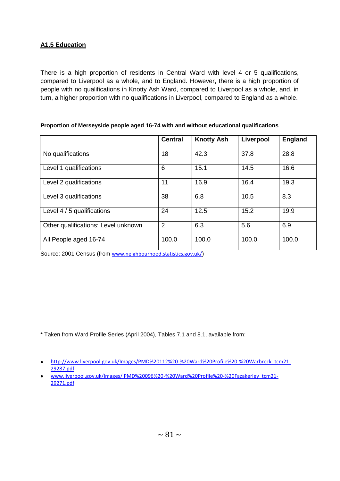# **A1.5 Education**

There is a high proportion of residents in Central Ward with level 4 or 5 qualifications, compared to Liverpool as a whole, and to England. However, there is a high proportion of people with no qualifications in Knotty Ash Ward, compared to Liverpool as a whole, and, in turn, a higher proportion with no qualifications in Liverpool, compared to England as a whole.

|                                     | <b>Central</b> | <b>Knotty Ash</b> | Liverpool | <b>England</b> |
|-------------------------------------|----------------|-------------------|-----------|----------------|
| No qualifications                   | 18             | 42.3              | 37.8      | 28.8           |
| Level 1 qualifications              | 6              | 15.1              | 14.5      | 16.6           |
| Level 2 qualifications              | 11             | 16.9              | 16.4      | 19.3           |
| Level 3 qualifications              | 38             | 6.8               | 10.5      | 8.3            |
| Level 4 / 5 qualifications          | 24             | 12.5              | 15.2      | 19.9           |
| Other qualifications: Level unknown | $\overline{2}$ | 6.3               | 5.6       | 6.9            |
| All People aged 16-74               | 100.0          | 100.0             | 100.0     | 100.0          |

#### **Proportion of Merseyside people aged 16-74 with and without educational qualifications**

Source: 2001 Census (from [www.neighbourhood.statistics.gov.uk/](http://www.neighbourhood.statistics.gov.uk/))

\* Taken from Ward Profile Series (April 2004), Tables 7.1 and 8.1, available from:

[http://www.liverpool.gov.uk/Images/PMD%20112%20-%20Ward%20Profile%20-%20Warbreck\\_tcm21-](http://www.liverpool.gov.uk/Images/PMD%20112%20-%20Ward%20Profile%20-%20Warbreck_tcm21-29287.pdf) [29287.pdf](http://www.liverpool.gov.uk/Images/PMD%20112%20-%20Ward%20Profile%20-%20Warbreck_tcm21-29287.pdf)

[www.liverpool.gov.uk/Images/ PMD%20096%20-%20Ward%20Profile%20-%20Fazakerley\\_tcm21-](file:///C:\Documents%20and%20Settings\smoore\smoore\Local%20Settings\alexss\Local%20Settings\Temp\www.liverpool.gov.uk\Images\%20PMD%20096%20-%20Ward%20Profile%20-%20Fazakerley_tcm21-29271.pdf) [29271.pdf](file:///C:\Documents%20and%20Settings\smoore\smoore\Local%20Settings\alexss\Local%20Settings\Temp\www.liverpool.gov.uk\Images\%20PMD%20096%20-%20Ward%20Profile%20-%20Fazakerley_tcm21-29271.pdf)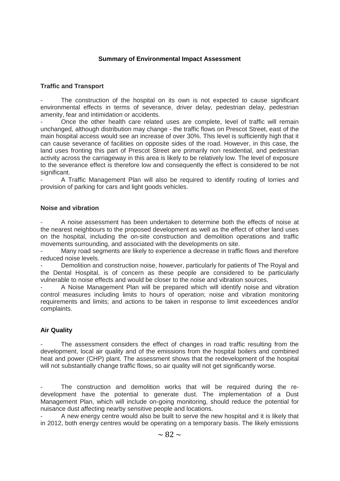### **Summary of Environmental Impact Assessment**

#### **Traffic and Transport**

The construction of the hospital on its own is not expected to cause significant environmental effects in terms of severance, driver delay, pedestrian delay, pedestrian amenity, fear and intimidation or accidents.

- Once the other health care related uses are complete, level of traffic will remain unchanged, although distribution may change - the traffic flows on Prescot Street, east of the main hospital access would see an increase of over 30%. This level is sufficiently high that it can cause severance of facilities on opposite sides of the road. However, in this case, the land uses fronting this part of Prescot Street are primarily non residential, and pedestrian activity across the carriageway in this area is likely to be relatively low. The level of exposure to the severance effect is therefore low and consequently the effect is considered to be not significant.

A Traffic Management Plan will also be required to identify routing of lorries and provision of parking for cars and light goods vehicles.

#### **Noise and vibration**

A noise assessment has been undertaken to determine both the effects of noise at the nearest neighbours to the proposed development as well as the effect of other land uses on the hospital, including the on-site construction and demolition operations and traffic movements surrounding, and associated with the developments on site.

Many road segments are likely to experience a decrease in traffic flows and therefore reduced noise levels.

Demolition and construction noise, however, particularly for patients of The Royal and the Dental Hospital, is of concern as these people are considered to be particularly vulnerable to noise effects and would be closer to the noise and vibration sources.

A Noise Management Plan will be prepared which will identify noise and vibration control measures including limits to hours of operation; noise and vibration monitoring requirements and limits; and actions to be taken in response to limit exceedences and/or complaints.

#### **Air Quality**

The assessment considers the effect of changes in road traffic resulting from the development, local air quality and of the emissions from the hospital boilers and combined heat and power (CHP) plant. The assessment shows that the redevelopment of the hospital will not substantially change traffic flows, so air quality will not get significantly worse.

The construction and demolition works that will be required during the redevelopment have the potential to generate dust. The implementation of a Dust Management Plan, which will include on-going monitoring, should reduce the potential for nuisance dust affecting nearby sensitive people and locations.

- A new energy centre would also be built to serve the new hospital and it is likely that in 2012, both energy centres would be operating on a temporary basis. The likely emissions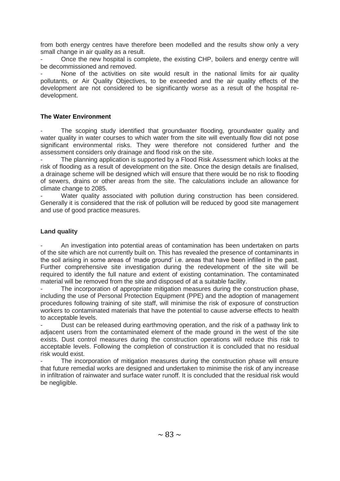from both energy centres have therefore been modelled and the results show only a very small change in air quality as a result.

Once the new hospital is complete, the existing CHP, boilers and energy centre will be decommissioned and removed.

None of the activities on site would result in the national limits for air quality pollutants, or Air Quality Objectives, to be exceeded and the air quality effects of the development are not considered to be significantly worse as a result of the hospital redevelopment.

## **The Water Environment**

The scoping study identified that groundwater flooding, groundwater quality and water quality in water courses to which water from the site will eventually flow did not pose significant environmental risks. They were therefore not considered further and the assessment considers only drainage and flood risk on the site.

The planning application is supported by a Flood Risk Assessment which looks at the risk of flooding as a result of development on the site. Once the design details are finalised, a drainage scheme will be designed which will ensure that there would be no risk to flooding of sewers, drains or other areas from the site. The calculations include an allowance for climate change to 2085.

Water quality associated with pollution during construction has been considered. Generally it is considered that the risk of pollution will be reduced by good site management and use of good practice measures.

### **Land quality**

- An investigation into potential areas of contamination has been undertaken on parts of the site which are not currently built on. This has revealed the presence of contaminants in the soil arising in some areas of "made ground" i.e. areas that have been infilled in the past. Further comprehensive site investigation during the redevelopment of the site will be required to identify the full nature and extent of existing contamination. The contaminated material will be removed from the site and disposed of at a suitable facility.

The incorporation of appropriate mitigation measures during the construction phase. including the use of Personal Protection Equipment (PPE) and the adoption of management procedures following training of site staff, will minimise the risk of exposure of construction workers to contaminated materials that have the potential to cause adverse effects to health to acceptable levels.

Dust can be released during earthmoving operation, and the risk of a pathway link to adjacent users from the contaminated element of the made ground in the west of the site exists. Dust control measures during the construction operations will reduce this risk to acceptable levels. Following the completion of construction it is concluded that no residual risk would exist.

The incorporation of mitigation measures during the construction phase will ensure that future remedial works are designed and undertaken to minimise the risk of any increase in infiltration of rainwater and surface water runoff. It is concluded that the residual risk would be negligible.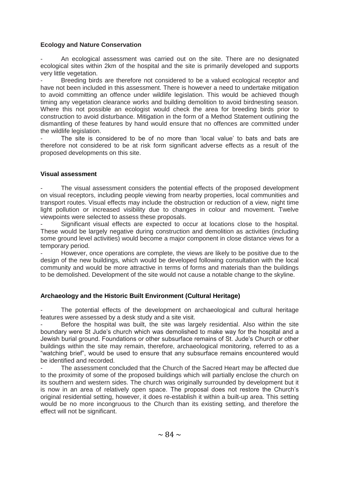### **Ecology and Nature Conservation**

An ecological assessment was carried out on the site. There are no designated ecological sites within 2km of the hospital and the site is primarily developed and supports very little vegetation.

Breeding birds are therefore not considered to be a valued ecological receptor and have not been included in this assessment. There is however a need to undertake mitigation to avoid committing an offence under wildlife legislation. This would be achieved though timing any vegetation clearance works and building demolition to avoid birdnesting season. Where this not possible an ecologist would check the area for breeding birds prior to construction to avoid disturbance. Mitigation in the form of a Method Statement outlining the dismantling of these features by hand would ensure that no offences are committed under the wildlife legislation.

The site is considered to be of no more than 'local value' to bats and bats are therefore not considered to be at risk form significant adverse effects as a result of the proposed developments on this site.

#### **Visual assessment**

The visual assessment considers the potential effects of the proposed development on visual receptors, including people viewing from nearby properties, local communities and transport routes. Visual effects may include the obstruction or reduction of a view, night time light pollution or increased visibility due to changes in colour and movement. Twelve viewpoints were selected to assess these proposals.

Significant visual effects are expected to occur at locations close to the hospital. These would be largely negative during construction and demolition as activities (including some ground level activities) would become a major component in close distance views for a temporary period.

However, once operations are complete, the views are likely to be positive due to the design of the new buildings, which would be developed following consultation with the local community and would be more attractive in terms of forms and materials than the buildings to be demolished. Development of the site would not cause a notable change to the skyline.

# **Archaeology and the Historic Built Environment (Cultural Heritage)**

The potential effects of the development on archaeological and cultural heritage features were assessed by a desk study and a site visit.

Before the hospital was built, the site was largely residential. Also within the site boundary were St Jude"s church which was demolished to make way for the hospital and a Jewish burial ground. Foundations or other subsurface remains of St. Jude"s Church or other buildings within the site may remain, therefore, archaeological monitoring, referred to as a "watching brief", would be used to ensure that any subsurface remains encountered would be identified and recorded.

The assessment concluded that the Church of the Sacred Heart may be affected due to the proximity of some of the proposed buildings which will partially enclose the church on its southern and western sides. The church was originally surrounded by development but it is now in an area of relatively open space. The proposal does not restore the Church"s original residential setting, however, it does re-establish it within a built-up area. This setting would be no more incongruous to the Church than its existing setting, and therefore the effect will not be significant.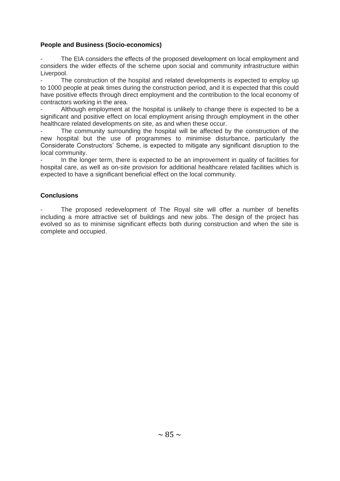### **People and Business (Socio-economics)**

The EIA considers the effects of the proposed development on local employment and considers the wider effects of the scheme upon social and community infrastructure within Liverpool.

The construction of the hospital and related developments is expected to employ up to 1000 people at peak times during the construction period, and it is expected that this could have positive effects through direct employment and the contribution to the local economy of contractors working in the area.

Although employment at the hospital is unlikely to change there is expected to be a significant and positive effect on local employment arising through employment in the other healthcare related developments on site, as and when these occur.

The community surrounding the hospital will be affected by the construction of the new hospital but the use of programmes to minimise disturbance, particularly the Considerate Constructors" Scheme, is expected to mitigate any significant disruption to the local community.

In the longer term, there is expected to be an improvement in quality of facilities for hospital care, as well as on-site provision for additional healthcare related facilities which is expected to have a significant beneficial effect on the local community.

### **Conclusions**

The proposed redevelopment of The Royal site will offer a number of benefits including a more attractive set of buildings and new jobs. The design of the project has evolved so as to minimise significant effects both during construction and when the site is complete and occupied.